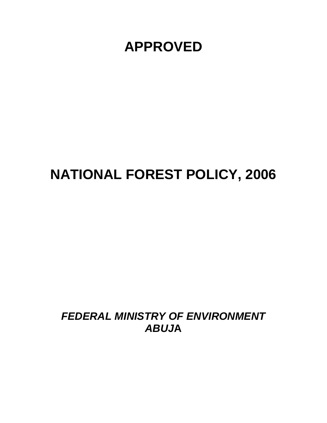**APPROVED** 

# **NATIONAL FOREST POLICY, 2006**

*FEDERAL MINISTRY OF ENVIRONMENT ABUJ***A**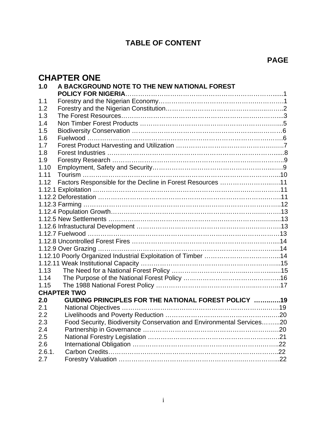# **TABLE OF CONTENT**

# **CHAPTER ONE**

| 1.0    | A BACKGROUND NOTE TO THE NEW NATIONAL FOREST                          |
|--------|-----------------------------------------------------------------------|
| 1.1    |                                                                       |
| 1.2    |                                                                       |
| 1.3    |                                                                       |
| 1.4    |                                                                       |
| 1.5    |                                                                       |
| 1.6    |                                                                       |
| 1.7    |                                                                       |
| 1.8    |                                                                       |
| 1.9    |                                                                       |
| 1.10   |                                                                       |
| 1.11   |                                                                       |
| 1.12   | Factors Responsible for the Decline in Forest Resources 11            |
|        |                                                                       |
|        |                                                                       |
|        |                                                                       |
|        |                                                                       |
|        |                                                                       |
|        |                                                                       |
|        |                                                                       |
|        |                                                                       |
|        |                                                                       |
|        |                                                                       |
|        |                                                                       |
| 1.13   |                                                                       |
| 1.14   |                                                                       |
| 1.15   |                                                                       |
|        | <b>CHAPTER TWO</b>                                                    |
| 2.0    | GUIDING PRINCIPLES FOR THE NATIONAL FOREST POLICY 19                  |
| 2.1    |                                                                       |
| 2.2    |                                                                       |
| 2.3    | Food Security, Biodiversity Conservation and Environmental Services20 |
| 2.4    |                                                                       |
| 2.5    |                                                                       |
| 2.6    |                                                                       |
| 2.6.1. |                                                                       |
| 2.7    |                                                                       |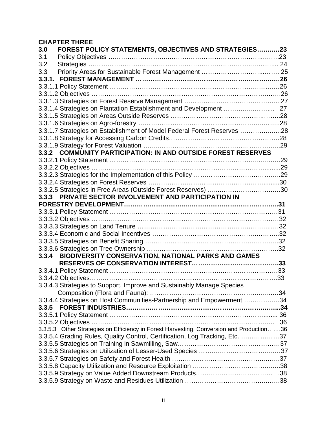# **CHAPTER THREE**

| 3.0<br>FOREST POLICY STATEMENTS, OBJECTIVES AND STRATEGIES23                             |  |
|------------------------------------------------------------------------------------------|--|
| 3.1                                                                                      |  |
| 3.2                                                                                      |  |
| 3.3                                                                                      |  |
|                                                                                          |  |
|                                                                                          |  |
|                                                                                          |  |
|                                                                                          |  |
|                                                                                          |  |
|                                                                                          |  |
|                                                                                          |  |
| 3.3.1.7 Strategies on Establishment of Model Federal Forest Reserves 28                  |  |
|                                                                                          |  |
|                                                                                          |  |
| 3.3.2 COMMUNITY PARTICIPATION: IN AND OUTSIDE FOREST RESERVES                            |  |
|                                                                                          |  |
|                                                                                          |  |
|                                                                                          |  |
|                                                                                          |  |
| 3.3.2.5 Strategies in Free Areas (Outside Forest Reserves) 30                            |  |
| 3.3.3 PRIVATE SECTOR INVOLVEMENT AND PARTICIPATION IN                                    |  |
|                                                                                          |  |
|                                                                                          |  |
|                                                                                          |  |
|                                                                                          |  |
|                                                                                          |  |
|                                                                                          |  |
|                                                                                          |  |
| BIODIVERSITY CONSERVATION, NATIONAL PARKS AND GAMES<br>3.3.4                             |  |
|                                                                                          |  |
|                                                                                          |  |
|                                                                                          |  |
| 3.3.4.3 Strategies to Support, Improve and Sustainably Manage Species                    |  |
|                                                                                          |  |
| 3.3.4.4 Strategies on Host Communities-Partnership and Empowerment 34                    |  |
|                                                                                          |  |
|                                                                                          |  |
|                                                                                          |  |
| 3.3.5.3 Other Strategies on Efficiency in Forest Harvesting, Conversion and Production36 |  |
| 3.3.5.4 Grading Rules, Quality Control, Certification, Log Tracking, Etc. 37             |  |
|                                                                                          |  |
|                                                                                          |  |
|                                                                                          |  |
|                                                                                          |  |
|                                                                                          |  |
|                                                                                          |  |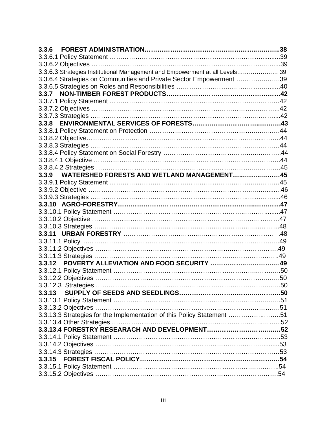| 3.3.6                                                                        |  |
|------------------------------------------------------------------------------|--|
|                                                                              |  |
|                                                                              |  |
| 3.3.6.3 Strategies Institutional Management and Empowerment at all Levels 39 |  |
| 3.3.6.4 Strategies on Communities and Private Sector Empowerment 39          |  |
|                                                                              |  |
|                                                                              |  |
|                                                                              |  |
|                                                                              |  |
|                                                                              |  |
|                                                                              |  |
|                                                                              |  |
|                                                                              |  |
|                                                                              |  |
|                                                                              |  |
|                                                                              |  |
|                                                                              |  |
| 3.3.9 WATERSHED FORESTS AND WETLAND MANAGEMENT45                             |  |
|                                                                              |  |
|                                                                              |  |
|                                                                              |  |
|                                                                              |  |
|                                                                              |  |
|                                                                              |  |
|                                                                              |  |
|                                                                              |  |
|                                                                              |  |
|                                                                              |  |
|                                                                              |  |
| 3.3.12 POVERTY ALLEVIATION AND FOOD SECURITY 49                              |  |
|                                                                              |  |
|                                                                              |  |
|                                                                              |  |
| 3.3.13                                                                       |  |
|                                                                              |  |
|                                                                              |  |
| 3.3.13.3 Strategies for the Implementation of this Policy Statement 51       |  |
|                                                                              |  |
|                                                                              |  |
|                                                                              |  |
|                                                                              |  |
|                                                                              |  |
|                                                                              |  |
|                                                                              |  |
|                                                                              |  |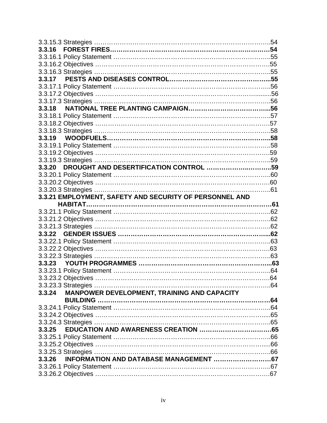| 3.3.20 DROUGHT AND DESERTIFICATION CONTROL 59           |  |
|---------------------------------------------------------|--|
|                                                         |  |
|                                                         |  |
|                                                         |  |
| 3.3.21 EMPLOYMENT, SAFETY AND SECURITY OF PERSONNEL AND |  |
|                                                         |  |
|                                                         |  |
|                                                         |  |
|                                                         |  |
|                                                         |  |
|                                                         |  |
|                                                         |  |
|                                                         |  |
|                                                         |  |
|                                                         |  |
|                                                         |  |
|                                                         |  |
|                                                         |  |
| MANPOWER DEVELOPMENT, TRAINING AND CAPACITY<br>3.3.24   |  |
|                                                         |  |
|                                                         |  |
|                                                         |  |
|                                                         |  |
|                                                         |  |
|                                                         |  |
|                                                         |  |
|                                                         |  |
|                                                         |  |
|                                                         |  |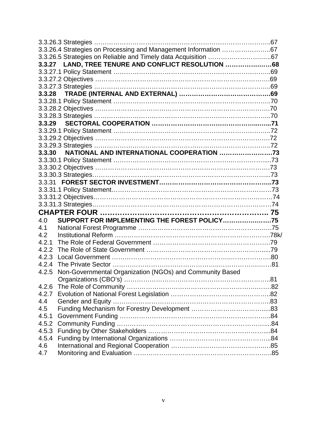|       | 3.3.26.4 Strategies on Processing and Management Information 67 |  |
|-------|-----------------------------------------------------------------|--|
|       |                                                                 |  |
|       | 3.3.27 LAND, TREE TENURE AND CONFLICT RESOLUTION 68             |  |
|       |                                                                 |  |
|       |                                                                 |  |
|       |                                                                 |  |
|       |                                                                 |  |
|       |                                                                 |  |
|       |                                                                 |  |
|       |                                                                 |  |
|       |                                                                 |  |
|       |                                                                 |  |
|       |                                                                 |  |
|       |                                                                 |  |
|       | 3.3.30 NATIONAL AND INTERNATIONAL COOPERATION 73                |  |
|       |                                                                 |  |
|       |                                                                 |  |
|       |                                                                 |  |
|       |                                                                 |  |
|       |                                                                 |  |
|       |                                                                 |  |
|       |                                                                 |  |
|       |                                                                 |  |
| 4.0   | SUPPORT FOR IMPLEMENTING THE FOREST POLICY75                    |  |
| 4.1   |                                                                 |  |
| 4.2   |                                                                 |  |
| 4.2.1 |                                                                 |  |
| 4.2.2 |                                                                 |  |
| 4.2.3 |                                                                 |  |
| 4.2.4 |                                                                 |  |
| 4.2.5 | Non-Governmental Organization (NGOs) and Community Based        |  |
|       |                                                                 |  |
| 4.2.6 |                                                                 |  |
| 4.2.7 |                                                                 |  |
| 4.4   |                                                                 |  |
| 4.5   |                                                                 |  |
| 4.5.1 |                                                                 |  |
| 4.5.2 |                                                                 |  |
| 4.5.3 |                                                                 |  |
| 4.5.4 |                                                                 |  |
| 4.6   |                                                                 |  |
| 4.7   |                                                                 |  |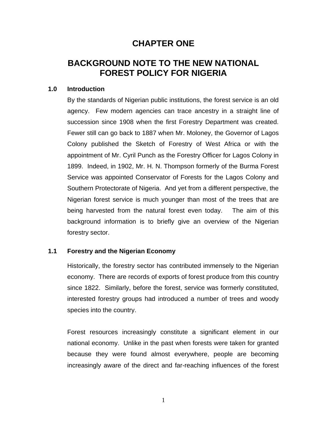# **CHAPTER ONE**

# **BACKGROUND NOTE TO THE NEW NATIONAL FOREST POLICY FOR NIGERIA**

#### **1.0 Introduction**

By the standards of Nigerian public institutions, the forest service is an old agency. Few modern agencies can trace ancestry in a straight line of succession since 1908 when the first Forestry Department was created. Fewer still can go back to 1887 when Mr. Moloney, the Governor of Lagos Colony published the Sketch of Forestry of West Africa or with the appointment of Mr. Cyril Punch as the Forestry Officer for Lagos Colony in 1899. Indeed, in 1902, Mr. H. N. Thompson formerly of the Burma Forest Service was appointed Conservator of Forests for the Lagos Colony and Southern Protectorate of Nigeria. And yet from a different perspective, the Nigerian forest service is much younger than most of the trees that are being harvested from the natural forest even today. The aim of this background information is to briefly give an overview of the Nigerian forestry sector.

#### **1.1 Forestry and the Nigerian Economy**

Historically, the forestry sector has contributed immensely to the Nigerian economy. There are records of exports of forest produce from this country since 1822. Similarly, before the forest, service was formerly constituted, interested forestry groups had introduced a number of trees and woody species into the country.

Forest resources increasingly constitute a significant element in our national economy. Unlike in the past when forests were taken for granted because they were found almost everywhere, people are becoming increasingly aware of the direct and far-reaching influences of the forest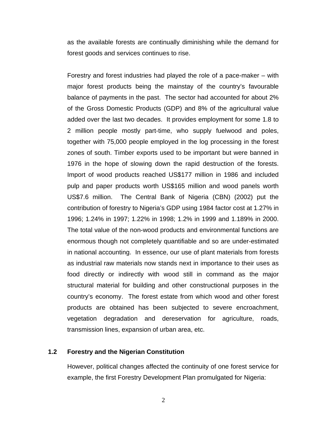as the available forests are continually diminishing while the demand for forest goods and services continues to rise.

Forestry and forest industries had played the role of a pace-maker – with major forest products being the mainstay of the country's favourable balance of payments in the past. The sector had accounted for about 2% of the Gross Domestic Products (GDP) and 8% of the agricultural value added over the last two decades. It provides employment for some 1.8 to 2 million people mostly part-time, who supply fuelwood and poles, together with 75,000 people employed in the log processing in the forest zones of south. Timber exports used to be important but were banned in 1976 in the hope of slowing down the rapid destruction of the forests. Import of wood products reached US\$177 million in 1986 and included pulp and paper products worth US\$165 million and wood panels worth US\$7.6 million. The Central Bank of Nigeria (CBN) (2002) put the contribution of forestry to Nigeria's GDP using 1984 factor cost at 1.27% in 1996; 1.24% in 1997; 1.22% in 1998; 1.2% in 1999 and 1.189% in 2000. The total value of the non-wood products and environmental functions are enormous though not completely quantifiable and so are under-estimated in national accounting. In essence, our use of plant materials from forests as industrial raw materials now stands next in importance to their uses as food directly or indirectly with wood still in command as the major structural material for building and other constructional purposes in the country's economy. The forest estate from which wood and other forest products are obtained has been subjected to severe encroachment, vegetation degradation and dereservation for agriculture, roads, transmission lines, expansion of urban area, etc.

#### **1.2 Forestry and the Nigerian Constitution**

However, political changes affected the continuity of one forest service for example, the first Forestry Development Plan promulgated for Nigeria:

2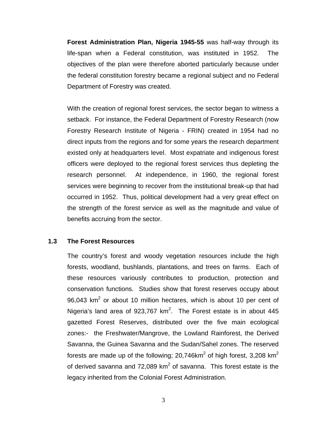**Forest Administration Plan, Nigeria 1945-55** was half-way through its life-span when a Federal constitution, was instituted in 1952. The objectives of the plan were therefore aborted particularly because under the federal constitution forestry became a regional subject and no Federal Department of Forestry was created.

With the creation of regional forest services, the sector began to witness a setback. For instance, the Federal Department of Forestry Research (now Forestry Research Institute of Nigeria - FRIN) created in 1954 had no direct inputs from the regions and for some years the research department existed only at headquarters level. Most expatriate and indigenous forest officers were deployed to the regional forest services thus depleting the research personnel. At independence, in 1960, the regional forest services were beginning to recover from the institutional break-up that had occurred in 1952. Thus, political development had a very great effect on the strength of the forest service as well as the magnitude and value of benefits accruing from the sector.

#### **1.3 The Forest Resources**

The country's forest and woody vegetation resources include the high forests, woodland, bushlands, plantations, and trees on farms. Each of these resources variously contributes to production, protection and conservation functions. Studies show that forest reserves occupy about 96,043 km<sup>2</sup> or about 10 million hectares, which is about 10 per cent of Nigeria's land area of 923,767 km<sup>2</sup>. The Forest estate is in about 445 gazetted Forest Reserves, distributed over the five main ecological zones:- the Freshwater/Mangrove, the Lowland Rainforest, the Derived Savanna, the Guinea Savanna and the Sudan/Sahel zones. The reserved forests are made up of the following; 20,746km<sup>2</sup> of high forest, 3,208 km<sup>2</sup> of derived savanna and 72,089  $km^2$  of savanna. This forest estate is the legacy inherited from the Colonial Forest Administration.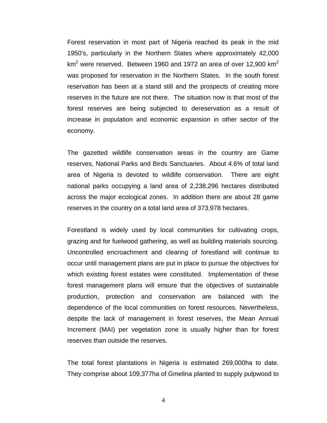Forest reservation in most part of Nigeria reached its peak in the mid 1950's, particularly in the Northern States where approximately 42,000 km<sup>2</sup> were reserved. Between 1960 and 1972 an area of over 12,900 km<sup>2</sup> was proposed for reservation in the Northern States. In the south forest reservation has been at a stand still and the prospects of creating more reserves in the future are not there. The situation now is that most of the forest reserves are being subjected to dereservation as a result of increase in population and economic expansion in other sector of the economy.

The gazetted wildlife conservation areas in the country are Game reserves, National Parks and Birds Sanctuaries. About 4.6% of total land area of Nigeria is devoted to wildlife conservation. There are eight national parks occupying a land area of 2,238,296 hectares distributed across the major ecological zones. In addition there are about 28 game reserves in the country on a total land area of 373,978 hectares.

Forestland is widely used by local communities for cultivating crops, grazing and for fuelwood gathering, as well as building materials sourcing. Uncontrolled encroachment and clearing of forestland will continue to occur until management plans are put in place to pursue the objectives for which existing forest estates were constituted. Implementation of these forest management plans will ensure that the objectives of sustainable production, protection and conservation are balanced with the dependence of the local communities on forest resources. Nevertheless, despite the lack of management in forest reserves, the Mean Annual Increment (MAI) per vegetation zone is usually higher than for forest reserves than outside the reserves.

The total forest plantations in Nigeria is estimated 269,000ha to date. They comprise about 109,377ha of Gmelina planted to supply pulpwood to

4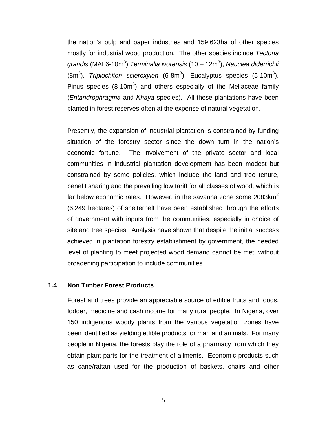the nation's pulp and paper industries and 159,623ha of other species mostly for industrial wood production. The other species include *Tectona*  grandis (MAI 6-10m<sup>3</sup>) *Terminalia ivorensis* (10 – 12m<sup>3</sup>), *Nauclea diderrichi*i (8m<sup>3</sup>), Triplochiton scleroxylon (6-8m<sup>3</sup>), Eucalyptus species (5-10m<sup>3</sup>), Pinus species  $(8{\text -}10\text{m}^3)$  and others especially of the Meliaceae family (*Entandrophragma* and *Khaya* species). All these plantations have been planted in forest reserves often at the expense of natural vegetation.

Presently, the expansion of industrial plantation is constrained by funding situation of the forestry sector since the down turn in the nation's economic fortune. The involvement of the private sector and local communities in industrial plantation development has been modest but constrained by some policies, which include the land and tree tenure, benefit sharing and the prevailing low tariff for all classes of wood, which is far below economic rates. However, in the savanna zone some  $2083 \text{km}^2$ (6,249 hectares) of shelterbelt have been established through the efforts of government with inputs from the communities, especially in choice of site and tree species. Analysis have shown that despite the initial success achieved in plantation forestry establishment by government, the needed level of planting to meet projected wood demand cannot be met, without broadening participation to include communities.

#### **1.4 Non Timber Forest Products**

Forest and trees provide an appreciable source of edible fruits and foods, fodder, medicine and cash income for many rural people. In Nigeria, over 150 indigenous woody plants from the various vegetation zones have been identified as yielding edible products for man and animals. For many people in Nigeria, the forests play the role of a pharmacy from which they obtain plant parts for the treatment of ailments. Economic products such as cane/rattan used for the production of baskets, chairs and other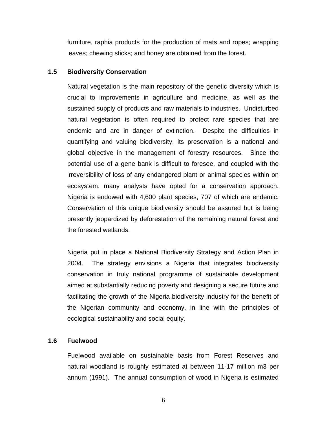furniture, raphia products for the production of mats and ropes; wrapping leaves; chewing sticks; and honey are obtained from the forest.

#### **1.5 Biodiversity Conservation**

Natural vegetation is the main repository of the genetic diversity which is crucial to improvements in agriculture and medicine, as well as the sustained supply of products and raw materials to industries. Undisturbed natural vegetation is often required to protect rare species that are endemic and are in danger of extinction. Despite the difficulties in quantifying and valuing biodiversity, its preservation is a national and global objective in the management of forestry resources. Since the potential use of a gene bank is difficult to foresee, and coupled with the irreversibility of loss of any endangered plant or animal species within on ecosystem, many analysts have opted for a conservation approach. Nigeria is endowed with 4,600 plant species, 707 of which are endemic. Conservation of this unique biodiversity should be assured but is being presently jeopardized by deforestation of the remaining natural forest and the forested wetlands.

Nigeria put in place a National Biodiversity Strategy and Action Plan in 2004. The strategy envisions a Nigeria that integrates biodiversity conservation in truly national programme of sustainable development aimed at substantially reducing poverty and designing a secure future and facilitating the growth of the Nigeria biodiversity industry for the benefit of the Nigerian community and economy, in line with the principles of ecological sustainability and social equity.

#### **1.6 Fuelwood**

Fuelwood available on sustainable basis from Forest Reserves and natural woodland is roughly estimated at between 11-17 million m3 per annum (1991). The annual consumption of wood in Nigeria is estimated

6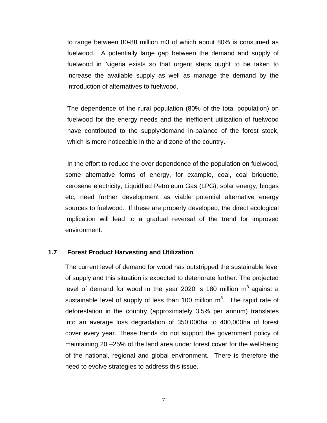to range between 80-88 million m3 of which about 80% is consumed as fuelwood. A potentially large gap between the demand and supply of fuelwood in Nigeria exists so that urgent steps ought to be taken to increase the available supply as well as manage the demand by the introduction of alternatives to fuelwood.

The dependence of the rural population (80% of the total population) on fuelwood for the energy needs and the inefficient utilization of fuelwood have contributed to the supply/demand in-balance of the forest stock, which is more noticeable in the arid zone of the country.

In the effort to reduce the over dependence of the population on fuelwood, some alternative forms of energy, for example, coal, coal briquette, kerosene electricity, Liquidfied Petroleum Gas (LPG), solar energy, biogas etc, need further development as viable potential alternative energy sources to fuelwood. If these are properly developed, the direct ecological implication will lead to a gradual reversal of the trend for improved environment.

#### **1.7 Forest Product Harvesting and Utilization**

The current level of demand for wood has outstripped the sustainable level of supply and this situation is expected to deteriorate further. The projected level of demand for wood in the year 2020 is 180 million  $m^3$  against a sustainable level of supply of less than 100 million  $m^3$ . The rapid rate of deforestation in the country (approximately 3.5% per annum) translates into an average loss degradation of 350,000ha to 400,000ha of forest cover every year. These trends do not support the government policy of maintaining 20 –25% of the land area under forest cover for the well-being of the national, regional and global environment. There is therefore the need to evolve strategies to address this issue.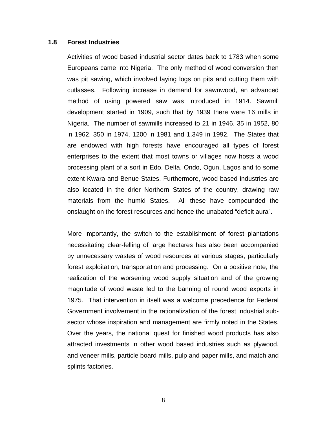#### **1.8 Forest Industries**

Activities of wood based industrial sector dates back to 1783 when some Europeans came into Nigeria. The only method of wood conversion then was pit sawing, which involved laying logs on pits and cutting them with cutlasses. Following increase in demand for sawnwood, an advanced method of using powered saw was introduced in 1914. Sawmill development started in 1909, such that by 1939 there were 16 mills in Nigeria. The number of sawmills increased to 21 in 1946, 35 in 1952, 80 in 1962, 350 in 1974, 1200 in 1981 and 1,349 in 1992. The States that are endowed with high forests have encouraged all types of forest enterprises to the extent that most towns or villages now hosts a wood processing plant of a sort in Edo, Delta, Ondo, Ogun, Lagos and to some extent Kwara and Benue States. Furthermore, wood based industries are also located in the drier Northern States of the country, drawing raw materials from the humid States. All these have compounded the onslaught on the forest resources and hence the unabated "deficit aura".

More importantly, the switch to the establishment of forest plantations necessitating clear-felling of large hectares has also been accompanied by unnecessary wastes of wood resources at various stages, particularly forest exploitation, transportation and processing. On a positive note, the realization of the worsening wood supply situation and of the growing magnitude of wood waste led to the banning of round wood exports in 1975. That intervention in itself was a welcome precedence for Federal Government involvement in the rationalization of the forest industrial subsector whose inspiration and management are firmly noted in the States. Over the years, the national quest for finished wood products has also attracted investments in other wood based industries such as plywood, and veneer mills, particle board mills, pulp and paper mills, and match and splints factories.

8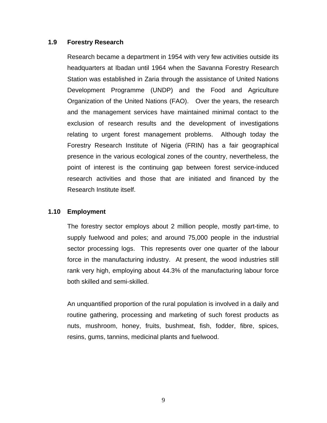#### **1.9 Forestry Research**

Research became a department in 1954 with very few activities outside its headquarters at Ibadan until 1964 when the Savanna Forestry Research Station was established in Zaria through the assistance of United Nations Development Programme (UNDP) and the Food and Agriculture Organization of the United Nations (FAO). Over the years, the research and the management services have maintained minimal contact to the exclusion of research results and the development of investigations relating to urgent forest management problems. Although today the Forestry Research Institute of Nigeria (FRIN) has a fair geographical presence in the various ecological zones of the country, nevertheless, the point of interest is the continuing gap between forest service-induced research activities and those that are initiated and financed by the Research Institute itself.

#### **1.10 Employment**

The forestry sector employs about 2 million people, mostly part-time, to supply fuelwood and poles; and around 75,000 people in the industrial sector processing logs. This represents over one quarter of the labour force in the manufacturing industry. At present, the wood industries still rank very high, employing about 44.3% of the manufacturing labour force both skilled and semi-skilled.

An unquantified proportion of the rural population is involved in a daily and routine gathering, processing and marketing of such forest products as nuts, mushroom, honey, fruits, bushmeat, fish, fodder, fibre, spices, resins, gums, tannins, medicinal plants and fuelwood.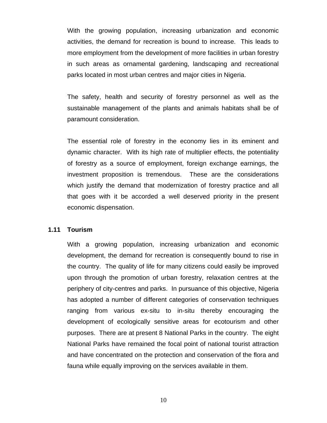With the growing population, increasing urbanization and economic activities, the demand for recreation is bound to increase. This leads to more employment from the development of more facilities in urban forestry in such areas as ornamental gardening, landscaping and recreational parks located in most urban centres and major cities in Nigeria.

The safety, health and security of forestry personnel as well as the sustainable management of the plants and animals habitats shall be of paramount consideration.

The essential role of forestry in the economy lies in its eminent and dynamic character. With its high rate of multiplier effects, the potentiality of forestry as a source of employment, foreign exchange earnings, the investment proposition is tremendous. These are the considerations which justify the demand that modernization of forestry practice and all that goes with it be accorded a well deserved priority in the present economic dispensation.

#### **1.11 Tourism**

With a growing population, increasing urbanization and economic development, the demand for recreation is consequently bound to rise in the country. The quality of life for many citizens could easily be improved upon through the promotion of urban forestry, relaxation centres at the periphery of city-centres and parks. In pursuance of this objective, Nigeria has adopted a number of different categories of conservation techniques ranging from various ex-situ to in-situ thereby encouraging the development of ecologically sensitive areas for ecotourism and other purposes. There are at present 8 National Parks in the country. The eight National Parks have remained the focal point of national tourist attraction and have concentrated on the protection and conservation of the flora and fauna while equally improving on the services available in them.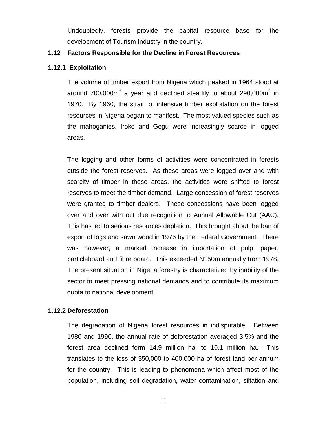Undoubtedly, forests provide the capital resource base for the development of Tourism Industry in the country.

#### **1.12 Factors Responsible for the Decline in Forest Resources**

#### **1.12.1 Exploitation**

The volume of timber export from Nigeria which peaked in 1964 stood at around 700,000m<sup>2</sup> a year and declined steadily to about 290,000m<sup>2</sup> in 1970. By 1960, the strain of intensive timber exploitation on the forest resources in Nigeria began to manifest. The most valued species such as the mahoganies, Iroko and Gegu were increasingly scarce in logged areas.

The logging and other forms of activities were concentrated in forests outside the forest reserves. As these areas were logged over and with scarcity of timber in these areas, the activities were shifted to forest reserves to meet the timber demand. Large concession of forest reserves were granted to timber dealers. These concessions have been logged over and over with out due recognition to Annual Allowable Cut (AAC). This has led to serious resources depletion. This brought about the ban of export of logs and sawn wood in 1976 by the Federal Government. There was however, a marked increase in importation of pulp, paper, particleboard and fibre board. This exceeded N150m annually from 1978. The present situation in Nigeria forestry is characterized by inability of the sector to meet pressing national demands and to contribute its maximum quota to national development.

#### **1.12.2 Deforestation**

The degradation of Nigeria forest resources in indisputable. Between 1980 and 1990, the annual rate of deforestation averaged 3.5% and the forest area declined form 14.9 million ha. to 10.1 million ha. This translates to the loss of 350,000 to 400,000 ha of forest land per annum for the country. This is leading to phenomena which affect most of the population, including soil degradation, water contamination, siltation and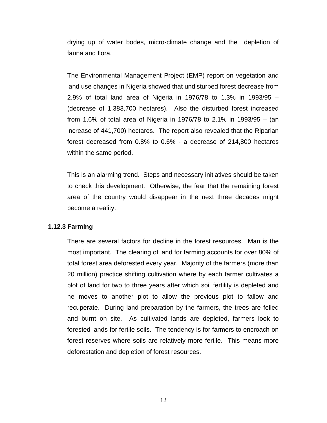drying up of water bodes, micro-climate change and the depletion of fauna and flora.

The Environmental Management Project (EMP) report on vegetation and land use changes in Nigeria showed that undisturbed forest decrease from 2.9% of total land area of Nigeria in 1976/78 to 1.3% in 1993/95 – (decrease of 1,383,700 hectares). Also the disturbed forest increased from 1.6% of total area of Nigeria in 1976/78 to 2.1% in 1993/95 – (an increase of 441,700) hectares. The report also revealed that the Riparian forest decreased from 0.8% to 0.6% - a decrease of 214,800 hectares within the same period.

This is an alarming trend. Steps and necessary initiatives should be taken to check this development. Otherwise, the fear that the remaining forest area of the country would disappear in the next three decades might become a reality.

#### **1.12.3 Farming**

There are several factors for decline in the forest resources. Man is the most important. The clearing of land for farming accounts for over 80% of total forest area deforested every year. Majority of the farmers (more than 20 million) practice shifting cultivation where by each farmer cultivates a plot of land for two to three years after which soil fertility is depleted and he moves to another plot to allow the previous plot to fallow and recuperate. During land preparation by the farmers, the trees are felled and burnt on site. As cultivated lands are depleted, farmers look to forested lands for fertile soils. The tendency is for farmers to encroach on forest reserves where soils are relatively more fertile. This means more deforestation and depletion of forest resources.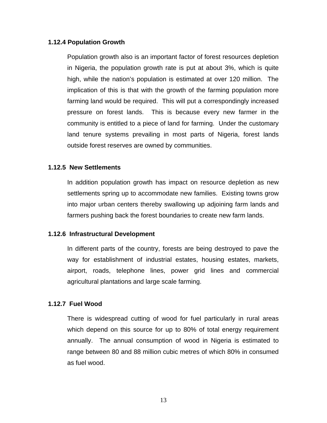#### **1.12.4 Population Growth**

Population growth also is an important factor of forest resources depletion in Nigeria, the population growth rate is put at about 3%, which is quite high, while the nation's population is estimated at over 120 million. The implication of this is that with the growth of the farming population more farming land would be required. This will put a correspondingly increased pressure on forest lands. This is because every new farmer in the community is entitled to a piece of land for farming. Under the customary land tenure systems prevailing in most parts of Nigeria, forest lands outside forest reserves are owned by communities.

#### **1.12.5 New Settlements**

In addition population growth has impact on resource depletion as new settlements spring up to accommodate new families. Existing towns grow into major urban centers thereby swallowing up adjoining farm lands and farmers pushing back the forest boundaries to create new farm lands.

#### **1.12.6 Infrastructural Development**

In different parts of the country, forests are being destroyed to pave the way for establishment of industrial estates, housing estates, markets, airport, roads, telephone lines, power grid lines and commercial agricultural plantations and large scale farming.

#### **1.12.7 Fuel Wood**

There is widespread cutting of wood for fuel particularly in rural areas which depend on this source for up to 80% of total energy requirement annually. The annual consumption of wood in Nigeria is estimated to range between 80 and 88 million cubic metres of which 80% in consumed as fuel wood.

13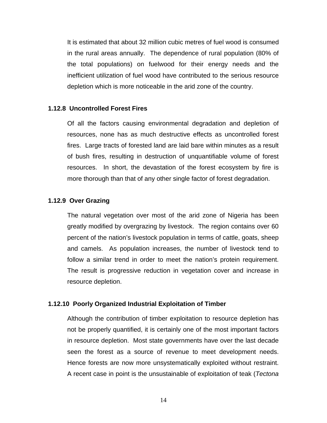It is estimated that about 32 million cubic metres of fuel wood is consumed in the rural areas annually. The dependence of rural population (80% of the total populations) on fuelwood for their energy needs and the inefficient utilization of fuel wood have contributed to the serious resource depletion which is more noticeable in the arid zone of the country.

#### **1.12.8 Uncontrolled Forest Fires**

Of all the factors causing environmental degradation and depletion of resources, none has as much destructive effects as uncontrolled forest fires. Large tracts of forested land are laid bare within minutes as a result of bush fires, resulting in destruction of unquantifiable volume of forest resources. In short, the devastation of the forest ecosystem by fire is more thorough than that of any other single factor of forest degradation.

#### **1.12.9 Over Grazing**

The natural vegetation over most of the arid zone of Nigeria has been greatly modified by overgrazing by livestock. The region contains over 60 percent of the nation's livestock population in terms of cattle, goats, sheep and camels. As population increases, the number of livestock tend to follow a similar trend in order to meet the nation's protein requirement. The result is progressive reduction in vegetation cover and increase in resource depletion.

#### **1.12.10 Poorly Organized Industrial Exploitation of Timber**

Although the contribution of timber exploitation to resource depletion has not be properly quantified, it is certainly one of the most important factors in resource depletion. Most state governments have over the last decade seen the forest as a source of revenue to meet development needs. Hence forests are now more unsystematically exploited without restraint. A recent case in point is the unsustainable of exploitation of teak (*Tectona*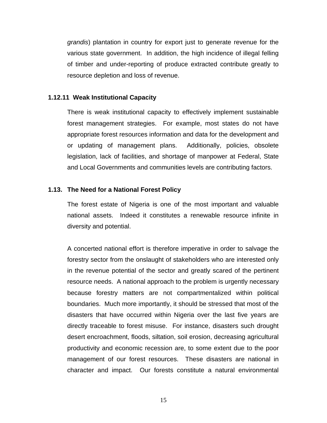*grandis*) plantation in country for export just to generate revenue for the various state government. In addition, the high incidence of illegal felling of timber and under-reporting of produce extracted contribute greatly to resource depletion and loss of revenue.

#### **1.12.11 Weak Institutional Capacity**

There is weak institutional capacity to effectively implement sustainable forest management strategies. For example, most states do not have appropriate forest resources information and data for the development and or updating of management plans. Additionally, policies, obsolete legislation, lack of facilities, and shortage of manpower at Federal, State and Local Governments and communities levels are contributing factors.

#### **1.13. The Need for a National Forest Policy**

The forest estate of Nigeria is one of the most important and valuable national assets. Indeed it constitutes a renewable resource infinite in diversity and potential.

A concerted national effort is therefore imperative in order to salvage the forestry sector from the onslaught of stakeholders who are interested only in the revenue potential of the sector and greatly scared of the pertinent resource needs. A national approach to the problem is urgently necessary because forestry matters are not compartmentalized within political boundaries. Much more importantly, it should be stressed that most of the disasters that have occurred within Nigeria over the last five years are directly traceable to forest misuse. For instance, disasters such drought desert encroachment, floods, siltation, soil erosion, decreasing agricultural productivity and economic recession are, to some extent due to the poor management of our forest resources. These disasters are national in character and impact. Our forests constitute a natural environmental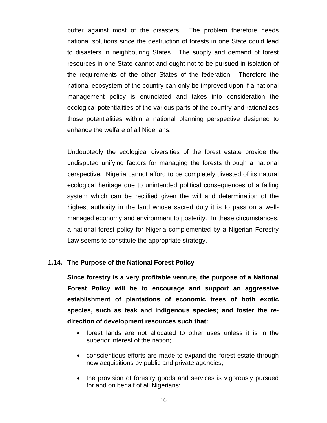buffer against most of the disasters. The problem therefore needs national solutions since the destruction of forests in one State could lead to disasters in neighbouring States. The supply and demand of forest resources in one State cannot and ought not to be pursued in isolation of the requirements of the other States of the federation. Therefore the national ecosystem of the country can only be improved upon if a national management policy is enunciated and takes into consideration the ecological potentialities of the various parts of the country and rationalizes those potentialities within a national planning perspective designed to enhance the welfare of all Nigerians.

Undoubtedly the ecological diversities of the forest estate provide the undisputed unifying factors for managing the forests through a national perspective. Nigeria cannot afford to be completely divested of its natural ecological heritage due to unintended political consequences of a failing system which can be rectified given the will and determination of the highest authority in the land whose sacred duty it is to pass on a wellmanaged economy and environment to posterity. In these circumstances, a national forest policy for Nigeria complemented by a Nigerian Forestry Law seems to constitute the appropriate strategy.

#### **1.14. The Purpose of the National Forest Policy**

**Since forestry is a very profitable venture, the purpose of a National Forest Policy will be to encourage and support an aggressive establishment of plantations of economic trees of both exotic species, such as teak and indigenous species; and foster the redirection of development resources such that:** 

- forest lands are not allocated to other uses unless it is in the superior interest of the nation;
- conscientious efforts are made to expand the forest estate through new acquisitions by public and private agencies;
- the provision of forestry goods and services is vigorously pursued for and on behalf of all Nigerians;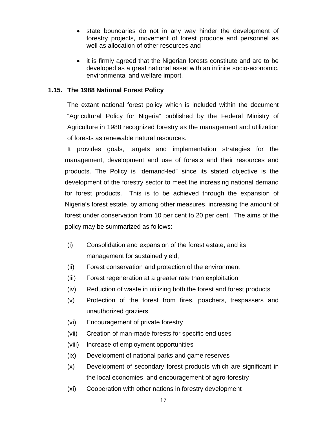- state boundaries do not in any way hinder the development of forestry projects, movement of forest produce and personnel as well as allocation of other resources and
- it is firmly agreed that the Nigerian forests constitute and are to be developed as a great national asset with an infinite socio-economic, environmental and welfare import.

# **1.15. The 1988 National Forest Policy**

The extant national forest policy which is included within the document "Agricultural Policy for Nigeria" published by the Federal Ministry of Agriculture in 1988 recognized forestry as the management and utilization of forests as renewable natural resources.

 It provides goals, targets and implementation strategies for the management, development and use of forests and their resources and products. The Policy is "demand-led" since its stated objective is the development of the forestry sector to meet the increasing national demand for forest products. This is to be achieved through the expansion of Nigeria's forest estate, by among other measures, increasing the amount of forest under conservation from 10 per cent to 20 per cent. The aims of the policy may be summarized as follows:

- (i) Consolidation and expansion of the forest estate, and its management for sustained yield,
- (ii) Forest conservation and protection of the environment
- (iii) Forest regeneration at a greater rate than exploitation
- (iv) Reduction of waste in utilizing both the forest and forest products
- (v) Protection of the forest from fires, poachers, trespassers and unauthorized graziers
- (vi) Encouragement of private forestry
- (vii) Creation of man-made forests for specific end uses
- (viii) Increase of employment opportunities
- (ix) Development of national parks and game reserves
- (x) Development of secondary forest products which are significant in the local economies, and encouragement of agro-forestry
- (xi) Cooperation with other nations in forestry development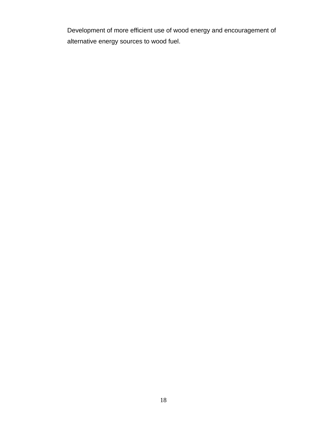Development of more efficient use of wood energy and encouragement of alternative energy sources to wood fuel.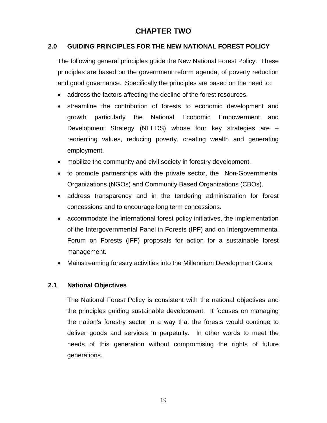# **CHAPTER TWO**

# **2.0 GUIDING PRINCIPLES FOR THE NEW NATIONAL FOREST POLICY**

The following general principles guide the New National Forest Policy. These principles are based on the government reform agenda, of poverty reduction and good governance. Specifically the principles are based on the need to:

- address the factors affecting the decline of the forest resources.
- streamline the contribution of forests to economic development and growth particularly the National Economic Empowerment and Development Strategy (NEEDS) whose four key strategies are – reorienting values, reducing poverty, creating wealth and generating employment.
- mobilize the community and civil society in forestry development.
- to promote partnerships with the private sector, the Non-Governmental Organizations (NGOs) and Community Based Organizations (CBOs).
- address transparency and in the tendering administration for forest concessions and to encourage long term concessions.
- accommodate the international forest policy initiatives, the implementation of the Intergovernmental Panel in Forests (IPF) and on Intergovernmental Forum on Forests (IFF) proposals for action for a sustainable forest management.
- Mainstreaming forestry activities into the Millennium Development Goals

#### **2.1 National Objectives**

The National Forest Policy is consistent with the national objectives and the principles guiding sustainable development. It focuses on managing the nation's forestry sector in a way that the forests would continue to deliver goods and services in perpetuity. In other words to meet the needs of this generation without compromising the rights of future generations.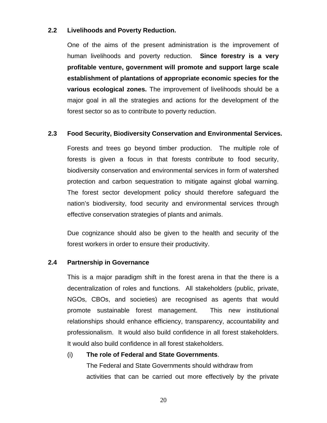#### **2.2 Livelihoods and Poverty Reduction.**

One of the aims of the present administration is the improvement of human livelihoods and poverty reduction. **Since forestry is a very profitable venture, government will promote and support large scale establishment of plantations of appropriate economic species for the various ecological zones.** The improvement of livelihoods should be a major goal in all the strategies and actions for the development of the forest sector so as to contribute to poverty reduction.

#### **2.3 Food Security, Biodiversity Conservation and Environmental Services.**

Forests and trees go beyond timber production. The multiple role of forests is given a focus in that forests contribute to food security, biodiversity conservation and environmental services in form of watershed protection and carbon sequestration to mitigate against global warning. The forest sector development policy should therefore safeguard the nation's biodiversity, food security and environmental services through effective conservation strategies of plants and animals.

Due cognizance should also be given to the health and security of the forest workers in order to ensure their productivity.

#### **2.4 Partnership in Governance**

This is a major paradigm shift in the forest arena in that the there is a decentralization of roles and functions. All stakeholders (public, private, NGOs, CBOs, and societies) are recognised as agents that would promote sustainable forest management. This new institutional relationships should enhance efficiency, transparency, accountability and professionalism. It would also build confidence in all forest stakeholders. It would also build confidence in all forest stakeholders.

#### (i) **The role of Federal and State Governments**.

 The Federal and State Governments should withdraw from activities that can be carried out more effectively by the private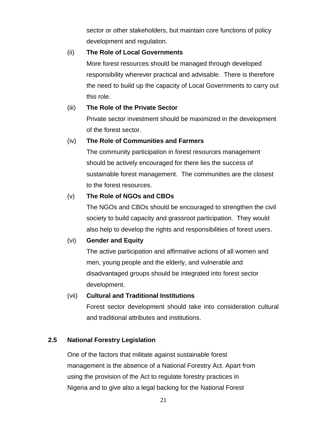sector or other stakeholders, but maintain core functions of policy development and regulation.

### (ii) **The Role of Local Governments**

 More forest resources should be managed through developed responsibility wherever practical and advisable. There is therefore the need to build up the capacity of Local Governments to carry out this role.

# (iii) **The Role of the Private Sector**

 Private sector investment should be maximized in the development of the forest sector.

# (iv) **The Role of Communities and Farmers**

 The community participation in forest resources management should be actively encouraged for there lies the success of sustainable forest management. The communities are the closest to the forest resources.

# (v) **The Role of NGOs and CBOs**

 The NGOs and CBOs should be encouraged to strengthen the civil society to build capacity and grassroot participation. They would also help to develop the rights and responsibilities of forest users.

# (vi) **Gender and Equity**

 The active participation and affirmative actions of all women and men, young people and the elderly, and vulnerable and disadvantaged groups should be integrated into forest sector development.

# (vii) **Cultural and Traditional Institutions**

Forest sector development should take into consideration cultural and traditional attributes and institutions.

# **2.5 National Forestry Legislation**

 One of the factors that militate against sustainable forest management is the absence of a National Forestry Act. Apart from using the provision of the Act to regulate forestry practices in Nigeria and to give also a legal backing for the National Forest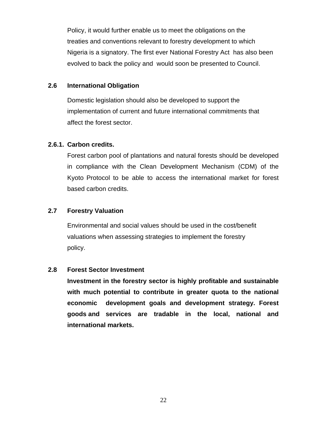Policy, it would further enable us to meet the obligations on the treaties and conventions relevant to forestry development to which Nigeria is a signatory. The first ever National Forestry Act has also been evolved to back the policy and would soon be presented to Council.

### **2.6 International Obligation**

 Domestic legislation should also be developed to support the implementation of current and future international commitments that affect the forest sector.

## **2.6.1. Carbon credits.**

Forest carbon pool of plantations and natural forests should be developed in compliance with the Clean Development Mechanism (CDM) of the Kyoto Protocol to be able to access the international market for forest based carbon credits.

# **2.7 Forestry Valuation**

 Environmental and social values should be used in the cost/benefit valuations when assessing strategies to implement the forestry policy.

#### **2.8 Forest Sector Investment**

 **Investment in the forestry sector is highly profitable and sustainable with much potential to contribute in greater quota to the national economic development goals and development strategy. Forest goods and services are tradable in the local, national and international markets.**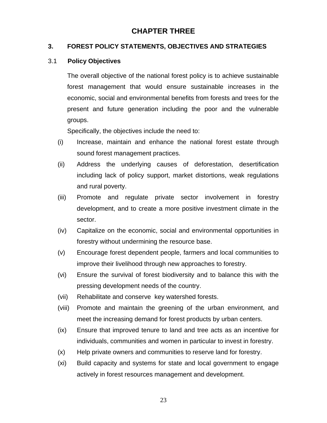# **CHAPTER THREE**

#### **3. FOREST POLICY STATEMENTS, OBJECTIVES AND STRATEGIES**

#### 3.1 **Policy Objectives**

The overall objective of the national forest policy is to achieve sustainable forest management that would ensure sustainable increases in the economic, social and environmental benefits from forests and trees for the present and future generation including the poor and the vulnerable groups.

Specifically, the objectives include the need to:

- (i) Increase, maintain and enhance the national forest estate through sound forest management practices.
- (ii) Address the underlying causes of deforestation, desertification including lack of policy support, market distortions, weak regulations and rural poverty.
- (iii) Promote and regulate private sector involvement in forestry development, and to create a more positive investment climate in the sector.
- (iv) Capitalize on the economic, social and environmental opportunities in forestry without undermining the resource base.
- (v) Encourage forest dependent people, farmers and local communities to improve their livelihood through new approaches to forestry.
- (vi) Ensure the survival of forest biodiversity and to balance this with the pressing development needs of the country.
- (vii) Rehabilitate and conserve key watershed forests.
- (viii) Promote and maintain the greening of the urban environment, and meet the increasing demand for forest products by urban centers.
- (ix) Ensure that improved tenure to land and tree acts as an incentive for individuals, communities and women in particular to invest in forestry.
- (x) Help private owners and communities to reserve land for forestry.
- (xi) Build capacity and systems for state and local government to engage actively in forest resources management and development.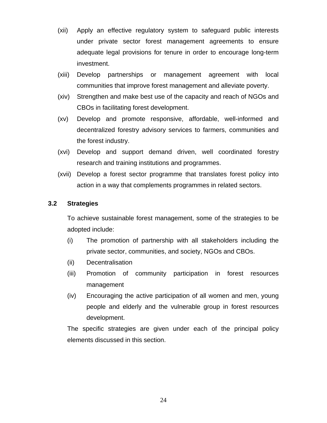- (xii) Apply an effective regulatory system to safeguard public interests under private sector forest management agreements to ensure adequate legal provisions for tenure in order to encourage long-term investment.
- (xiii) Develop partnerships or management agreement with local communities that improve forest management and alleviate poverty.
- (xiv) Strengthen and make best use of the capacity and reach of NGOs and CBOs in facilitating forest development.
- (xv) Develop and promote responsive, affordable, well-informed and decentralized forestry advisory services to farmers, communities and the forest industry.
- (xvi) Develop and support demand driven, well coordinated forestry research and training institutions and programmes.
- (xvii) Develop a forest sector programme that translates forest policy into action in a way that complements programmes in related sectors.

#### **3.2 Strategies**

To achieve sustainable forest management, some of the strategies to be adopted include:

- (i) The promotion of partnership with all stakeholders including the private sector, communities, and society, NGOs and CBOs.
- (ii) Decentralisation
- (iii) Promotion of community participation in forest resources management
- (iv) Encouraging the active participation of all women and men, young people and elderly and the vulnerable group in forest resources development.

The specific strategies are given under each of the principal policy elements discussed in this section.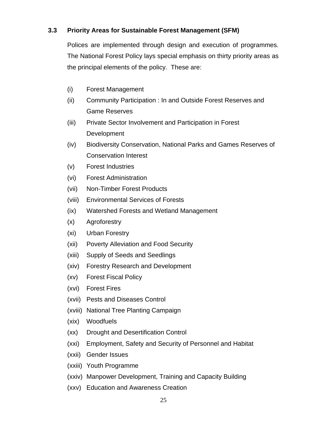# **3.3 Priority Areas for Sustainable Forest Management (SFM)**

Polices are implemented through design and execution of programmes. The National Forest Policy lays special emphasis on thirty priority areas as the principal elements of the policy. These are:

- (i) Forest Management
- (ii) Community Participation : In and Outside Forest Reserves and Game Reserves
- (iii) Private Sector Involvement and Participation in Forest Development
- (iv) Biodiversity Conservation, National Parks and Games Reserves of Conservation Interest
- (v) Forest Industries
- (vi) Forest Administration
- (vii) Non-Timber Forest Products
- (viii) Environmental Services of Forests
- (ix) Watershed Forests and Wetland Management
- (x) Agroforestry
- (xi) Urban Forestry
- (xii) Poverty Alleviation and Food Security
- (xiii) Supply of Seeds and Seedlings
- (xiv) Forestry Research and Development
- (xv) Forest Fiscal Policy
- (xvi) Forest Fires
- (xvii) Pests and Diseases Control
- (xviii) National Tree Planting Campaign
- (xix) Woodfuels
- (xx) Drought and Desertification Control
- (xxi) Employment, Safety and Security of Personnel and Habitat
- (xxii) Gender Issues
- (xxiii) Youth Programme
- (xxiv) Manpower Development, Training and Capacity Building
- (xxv) Education and Awareness Creation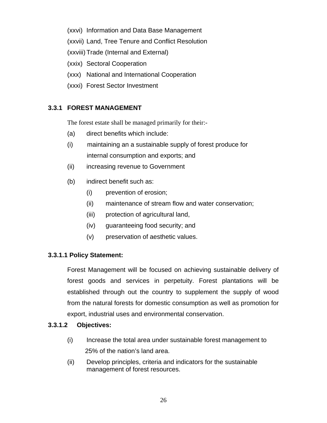- (xxvi) Information and Data Base Management
- (xxvii) Land, Tree Tenure and Conflict Resolution
- (xxviii) Trade (Internal and External)
- (xxix) Sectoral Cooperation
- (xxx) National and International Cooperation
- (xxxi) Forest Sector Investment

# **3.3.1 FOREST MANAGEMENT**

The forest estate shall be managed primarily for their:-

- (a) direct benefits which include:
- (i) maintaining an a sustainable supply of forest produce for internal consumption and exports; and
- (ii) increasing revenue to Government
- (b) indirect benefit such as:
	- (i) prevention of erosion;
	- (ii) maintenance of stream flow and water conservation;
	- (iii) protection of agricultural land,
	- (iv) guaranteeing food security; and
	- (v) preservation of aesthetic values.

# **3.3.1.1 Policy Statement:**

Forest Management will be focused on achieving sustainable delivery of forest goods and services in perpetuity. Forest plantations will be established through out the country to supplement the supply of wood from the natural forests for domestic consumption as well as promotion for export, industrial uses and environmental conservation.

# **3.3.1.2 Objectives:**

- (i) Increase the total area under sustainable forest management to 25% of the nation's land area.
- (ii) Develop principles, criteria and indicators for the sustainable management of forest resources.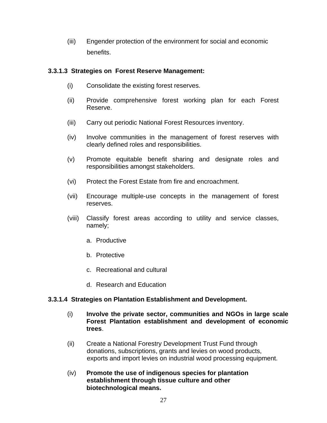(iii) Engender protection of the environment for social and economic benefits.

#### **3.3.1.3 Strategies on Forest Reserve Management:**

- (i) Consolidate the existing forest reserves.
- (ii) Provide comprehensive forest working plan for each Forest Reserve.
- (iii) Carry out periodic National Forest Resources inventory.
- (iv) Involve communities in the management of forest reserves with clearly defined roles and responsibilities.
- (v) Promote equitable benefit sharing and designate roles and responsibilities amongst stakeholders.
- (vi) Protect the Forest Estate from fire and encroachment.
- (vii) Encourage multiple-use concepts in the management of forest reserves.
- (viii) Classify forest areas according to utility and service classes, namely;
	- a. Productive
	- b. Protective
	- c. Recreational and cultural
	- d. Research and Education

#### **3.3.1.4 Strategies on Plantation Establishment and Development.**

- (i) **Involve the private sector, communities and NGOs in large scale Forest Plantation establishment and development of economic trees**.
- (ii) Create a National Forestry Development Trust Fund through donations, subscriptions, grants and levies on wood products, exports and import levies on industrial wood processing equipment.
- (iv) **Promote the use of indigenous species for plantation establishment through tissue culture and other biotechnological means.**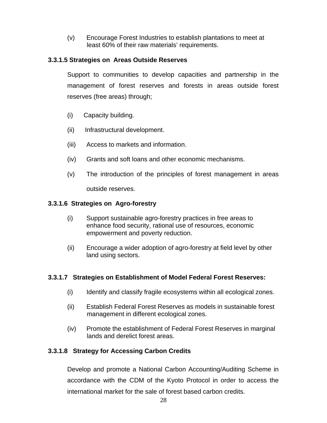(v) Encourage Forest Industries to establish plantations to meet at least 60% of their raw materials' requirements.

# **3.3.1.5 Strategies on Areas Outside Reserves**

Support to communities to develop capacities and partnership in the management of forest reserves and forests in areas outside forest reserves (free areas) through;

- (i) Capacity building.
- (ii) Infrastructural development.
- (iii) Access to markets and information.
- (iv) Grants and soft loans and other economic mechanisms.
- (v) The introduction of the principles of forest management in areas outside reserves.

# **3.3.1.6 Strategies on Agro-forestry**

- (i) Support sustainable agro-forestry practices in free areas to enhance food security, rational use of resources, economic empowerment and poverty reduction.
- (ii) Encourage a wider adoption of agro-forestry at field level by other land using sectors.

# **3.3.1.7 Strategies on Establishment of Model Federal Forest Reserves:**

- (i) Identify and classify fragile ecosystems within all ecological zones.
- (ii) Establish Federal Forest Reserves as models in sustainable forest management in different ecological zones.
- (iv) Promote the establishment of Federal Forest Reserves in marginal lands and derelict forest areas.

# **3.3.1.8 Strategy for Accessing Carbon Credits**

Develop and promote a National Carbon Accounting/Auditing Scheme in accordance with the CDM of the Kyoto Protocol in order to access the international market for the sale of forest based carbon credits.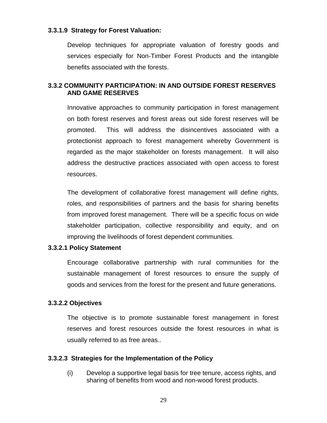#### **3.3.1.9 Strategy for Forest Valuation:**

Develop techniques for appropriate valuation of forestry goods and services especially for Non-Timber Forest Products and the intangible benefits associated with the forests.

#### **3.3.2 COMMUNITY PARTICIPATION: IN AND OUTSIDE FOREST RESERVES AND GAME RESERVES**

Innovative approaches to community participation in forest management on both forest reserves and forest areas out side forest reserves will be promoted. This will address the disincentives associated with a protectionist approach to forest management whereby Government is regarded as the major stakeholder on forests management. It will also address the destructive practices associated with open access to forest resources.

The development of collaborative forest management will define rights, roles, and responsibilities of partners and the basis for sharing benefits from improved forest management. There will be a specific focus on wide stakeholder participation, collective responsibility and equity, and on improving the livelihoods of forest dependent communities.

#### **3.3.2.1 Policy Statement**

Encourage collaborative partnership with rural communities for the sustainable management of forest resources to ensure the supply of goods and services from the forest for the present and future generations.

#### **3.3.2.2 Objectives**

The objective is to promote sustainable forest management in forest reserves and forest resources outside the forest resources in what is usually referred to as free areas..

#### **3.3.2.3 Strategies for the Implementation of the Policy**

(i) Develop a supportive legal basis for tree tenure, access rights, and sharing of benefits from wood and non-wood forest products.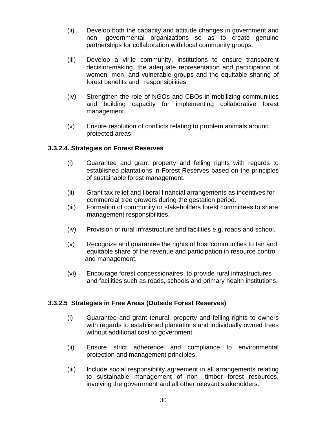- (ii) Develop both the capacity and attitude changes in government and non- governmental organizations so as to create genuine partnerships for collaboration with local community groups.
- (iii) Develop a virile community, institutions to ensure transparent decision-making, the adequate representation and participation of women, men, and vulnerable groups and the equitable sharing of forest benefits and responsibilities.
- (iv) Strengthen the role of NGOs and CBOs in mobilizing communities and building capacity for implementing collaborative forest management.
- (v) Ensure resolution of conflicts relating to problem animals around protected areas.

## **3.3.2.4. Strategies on Forest Reserves**

- (i) Guarantee and grant property and felling rights with regards to established plantations in Forest Reserves based on the principles of sustainable forest management.
- (ii) Grant tax relief and liberal financial arrangements as incentives for commercial tree growers during the gestation period.
- (iii) Formation of community or stakeholders forest committees to share management responsibilities.
- (iv) Provision of rural infrastructure and facilities e.g. roads and school.
- (v) Recognize and guarantee the rights of host communities to fair and equitable share of the revenue and participation in resource control and management.
- (vi) Encourage forest concessionaires, to provide rural infrastructures and facilities such as roads, schools and primary health institutions.

#### **3.3.2.5 Strategies in Free Areas (Outside Forest Reserves)**

- (i) Guarantee and grant tenural, property and felling rights to owners with regards to established plantations and individually owned trees without additional cost to government.
- (ii) Ensure strict adherence and compliance to environmental protection and management principles.
- (iii) Include social responsibility agreement in all arrangements relating to sustainable management of non- timber forest resources, involving the government and all other relevant stakeholders.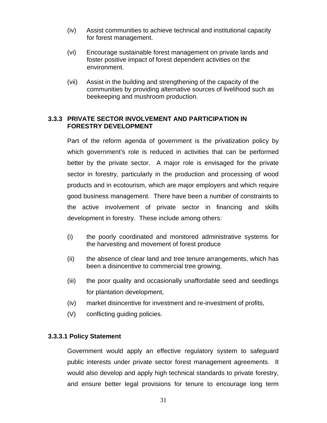- (iv) Assist communities to achieve technical and institutional capacity for forest management.
- (vi) Encourage sustainable forest management on private lands and foster positive impact of forest dependent activities on the environment.
- (vii) Assist in the building and strengthening of the capacity of the communities by providing alternative sources of livelihood such as beekeeping and mushroom production.

## **3.3.3 PRIVATE SECTOR INVOLVEMENT AND PARTICIPATION IN FORESTRY DEVELOPMENT**

Part of the reform agenda of government is the privatization policy by which government's role is reduced in activities that can be performed better by the private sector. A major role is envisaged for the private sector in forestry, particularly in the production and processing of wood products and in ecotourism, which are major employers and which require good business management. There have been a number of constraints to the active involvement of private sector in financing and skills development in forestry. These include among others:

- (i) the poorly coordinated and monitored administrative systems for the harvesting and movement of forest produce
- (ii) the absence of clear land and tree tenure arrangements, which has been a disincentive to commercial tree growing,
- (iii) the poor quality and occasionally unaffordable seed and seedlings for plantation development,
- (iv) market disincentive for investment and re-investment of profits,
- (V) conflicting guiding policies.

# **3.3.3.1 Policy Statement**

Government would apply an effective regulatory system to safeguard public interests under private sector forest management agreements. It would also develop and apply high technical standards to private forestry, and ensure better legal provisions for tenure to encourage long term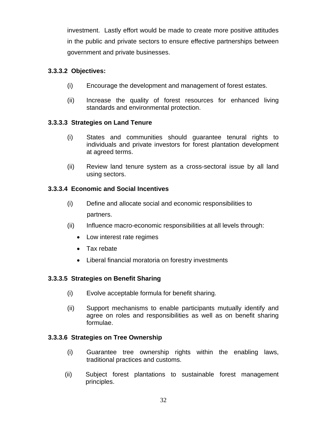investment. Lastly effort would be made to create more positive attitudes in the public and private sectors to ensure effective partnerships between government and private businesses.

# **3.3.3.2 Objectives:**

- (i) Encourage the development and management of forest estates.
- (ii) Increase the quality of forest resources for enhanced living standards and environmental protection.

# **3.3.3.3 Strategies on Land Tenure**

- (i) States and communities should guarantee tenural rights to individuals and private investors for forest plantation development at agreed terms.
- (ii) Review land tenure system as a cross-sectoral issue by all land using sectors.

# **3.3.3.4 Economic and Social Incentives**

- (i) Define and allocate social and economic responsibilities to partners.
- (ii) Influence macro-economic responsibilities at all levels through:
	- Low interest rate regimes
	- Tax rebate
	- Liberal financial moratoria on forestry investments

# **3.3.3.5 Strategies on Benefit Sharing**

- (i) Evolve acceptable formula for benefit sharing.
- (ii) Support mechanisms to enable participants mutually identify and agree on roles and responsibilities as well as on benefit sharing formulae.

# **3.3.3.6 Strategies on Tree Ownership**

- (i) Guarantee tree ownership rights within the enabling laws, traditional practices and customs.
- (ii) Subject forest plantations to sustainable forest management principles.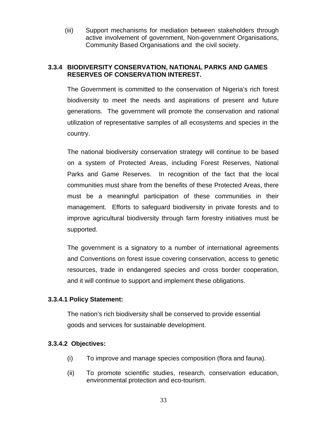(iii) Support mechanisms for mediation between stakeholders through active involvement of government, Non-government Organisations, Community Based Organisations and the civil society.

# **3.3.4 BIODIVERSITY CONSERVATION, NATIONAL PARKS AND GAMES RESERVES OF CONSERVATION INTEREST.**

The Government is committed to the conservation of Nigeria's rich forest biodiversity to meet the needs and aspirations of present and future generations. The government will promote the conservation and rational utilization of representative samples of all ecosystems and species in the country.

The national biodiversity conservation strategy will continue to be based on a system of Protected Areas, including Forest Reserves, National Parks and Game Reserves. In recognition of the fact that the local communities must share from the benefits of these Protected Areas, there must be a meaningful participation of these communities in their management. Efforts to safeguard biodiversity in private forests and to improve agricultural biodiversity through farm forestry initiatives must be supported.

The government is a signatory to a number of international agreements and Conventions on forest issue covering conservation, access to genetic resources, trade in endangered species and cross border cooperation, and it will continue to support and implement these obligations.

# **3.3.4.1 Policy Statement:**

The nation's rich biodiversity shall be conserved to provide essential goods and services for sustainable development.

# **3.3.4.2 Objectives:**

- (i) To improve and manage species composition (flora and fauna).
- (ii) To promote scientific studies, research, conservation education, environmental protection and eco-tourism.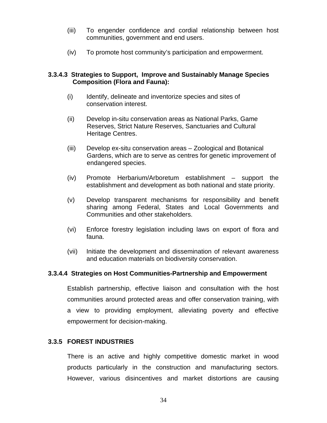- (iii) To engender confidence and cordial relationship between host communities, government and end users.
- (iv) To promote host community's participation and empowerment.

### **3.3.4.3 Strategies to Support, Improve and Sustainably Manage Species Composition (Flora and Fauna):**

- (i) Identify, delineate and inventorize species and sites of conservation interest.
- (ii) Develop in-situ conservation areas as National Parks, Game Reserves, Strict Nature Reserves, Sanctuaries and Cultural Heritage Centres.
- (iii) Develop ex-situ conservation areas Zoological and Botanical Gardens, which are to serve as centres for genetic improvement of endangered species.
- (iv) Promote Herbarium/Arboretum establishment support the establishment and development as both national and state priority.
- (v) Develop transparent mechanisms for responsibility and benefit sharing among Federal, States and Local Governments and Communities and other stakeholders.
- (vi) Enforce forestry legislation including laws on export of flora and fauna.
- (vii) Initiate the development and dissemination of relevant awareness and education materials on biodiversity conservation.

# **3.3.4.4 Strategies on Host Communities-Partnership and Empowerment**

Establish partnership, effective liaison and consultation with the host communities around protected areas and offer conservation training, with a view to providing employment, alleviating poverty and effective empowerment for decision-making.

### **3.3.5 FOREST INDUSTRIES**

There is an active and highly competitive domestic market in wood products particularly in the construction and manufacturing sectors. However, various disincentives and market distortions are causing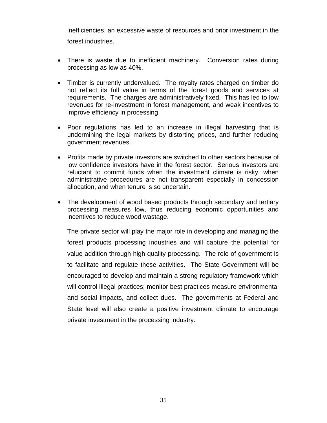inefficiencies, an excessive waste of resources and prior investment in the forest industries.

- There is waste due to inefficient machinery. Conversion rates during processing as low as 40%.
- Timber is currently undervalued. The royalty rates charged on timber do not reflect its full value in terms of the forest goods and services at requirements. The charges are administratively fixed. This has led to low revenues for re-investment in forest management, and weak incentives to improve efficiency in processing.
- Poor regulations has led to an increase in illegal harvesting that is undermining the legal markets by distorting prices, and further reducing government revenues.
- Profits made by private investors are switched to other sectors because of low confidence investors have in the forest sector. Serious investors are reluctant to commit funds when the investment climate is risky, when administrative procedures are not transparent especially in concession allocation, and when tenure is so uncertain.
- The development of wood based products through secondary and tertiary processing measures low, thus reducing economic opportunities and incentives to reduce wood wastage.

The private sector will play the major role in developing and managing the forest products processing industries and will capture the potential for value addition through high quality processing. The role of government is to facilitate and regulate these activities. The State Government will be encouraged to develop and maintain a strong regulatory framework which will control illegal practices; monitor best practices measure environmental and social impacts, and collect dues. The governments at Federal and State level will also create a positive investment climate to encourage private investment in the processing industry.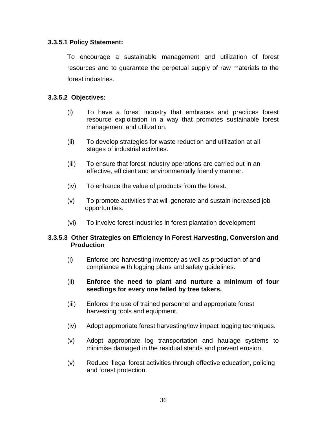### **3.3.5.1 Policy Statement:**

To encourage a sustainable management and utilization of forest resources and to guarantee the perpetual supply of raw materials to the forest industries.

## **3.3.5.2 Objectives:**

- (i) To have a forest industry that embraces and practices forest resource exploitation in a way that promotes sustainable forest management and utilization.
- (ii) To develop strategies for waste reduction and utilization at all stages of industrial activities.
- (iii) To ensure that forest industry operations are carried out in an effective, efficient and environmentally friendly manner.
- (iv) To enhance the value of products from the forest.
- (v) To promote activities that will generate and sustain increased job opportunities.
- (vi) To involve forest industries in forest plantation development

### **3.3.5.3 Other Strategies on Efficiency in Forest Harvesting, Conversion and Production**

- (i) Enforce pre-harvesting inventory as well as production of and compliance with logging plans and safety guidelines.
- (ii) **Enforce the need to plant and nurture a minimum of four seedlings for every one felled by tree takers.**
- (iii) Enforce the use of trained personnel and appropriate forest harvesting tools and equipment.
- (iv) Adopt appropriate forest harvesting/low impact logging techniques.
- (v) Adopt appropriate log transportation and haulage systems to minimise damaged in the residual stands and prevent erosion.
- (v) Reduce illegal forest activities through effective education, policing and forest protection.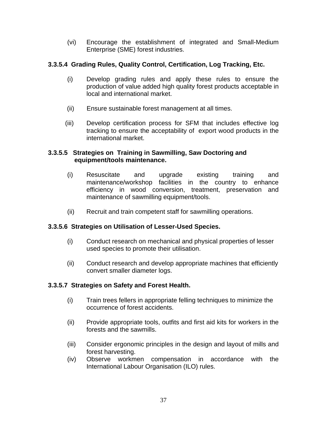(vi) Encourage the establishment of integrated and Small-Medium Enterprise (SME) forest industries.

# **3.3.5.4 Grading Rules, Quality Control, Certification, Log Tracking, Etc.**

- (i) Develop grading rules and apply these rules to ensure the production of value added high quality forest products acceptable in local and international market.
- (ii) Ensure sustainable forest management at all times.
- (iii) Develop certification process for SFM that includes effective log tracking to ensure the acceptability of export wood products in the international market.

### **3.3.5.5 Strategies on Training in Sawmilling, Saw Doctoring and equipment/tools maintenance.**

- (i) Resuscitate and upgrade existing training and maintenance/workshop facilities in the country to enhance efficiency in wood conversion, treatment, preservation and maintenance of sawmilling equipment/tools.
- (ii) Recruit and train competent staff for sawmilling operations.

# **3.3.5.6 Strategies on Utilisation of Lesser-Used Species.**

- (i) Conduct research on mechanical and physical properties of lesser used species to promote their utilisation.
- (ii) Conduct research and develop appropriate machines that efficiently convert smaller diameter logs.

# **3.3.5.7 Strategies on Safety and Forest Health.**

- (i) Train trees fellers in appropriate felling techniques to minimize the occurrence of forest accidents.
- (ii) Provide appropriate tools, outfits and first aid kits for workers in the forests and the sawmills.
- (iii) Consider ergonomic principles in the design and layout of mills and forest harvesting.
- (iv) Observe workmen compensation in accordance with the International Labour Organisation (ILO) rules.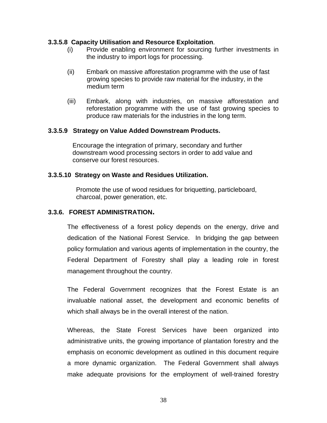#### **3.3.5.8 Capacity Utilisation and Resource Exploitation**.

- (i) Provide enabling environment for sourcing further investments in the industry to import logs for processing.
- (ii) Embark on massive afforestation programme with the use of fast growing species to provide raw material for the industry, in the medium term
- (iii) Embark, along with industries, on massive afforestation and reforestation programme with the use of fast growing species to produce raw materials for the industries in the long term.

#### **3.3.5.9 Strategy on Value Added Downstream Products.**

 Encourage the integration of primary, secondary and further downstream wood processing sectors in order to add value and conserve our forest resources.

#### **3.3.5.10 Strategy on Waste and Residues Utilization.**

 Promote the use of wood residues for briquetting, particleboard, charcoal, power generation, etc.

#### **3.3.6. FOREST ADMINISTRATION.**

The effectiveness of a forest policy depends on the energy, drive and dedication of the National Forest Service. In bridging the gap between policy formulation and various agents of implementation in the country, the Federal Department of Forestry shall play a leading role in forest management throughout the country.

The Federal Government recognizes that the Forest Estate is an invaluable national asset, the development and economic benefits of which shall always be in the overall interest of the nation.

Whereas, the State Forest Services have been organized into administrative units, the growing importance of plantation forestry and the emphasis on economic development as outlined in this document require a more dynamic organization. The Federal Government shall always make adequate provisions for the employment of well-trained forestry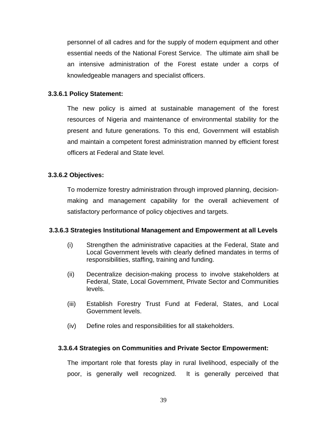personnel of all cadres and for the supply of modern equipment and other essential needs of the National Forest Service. The ultimate aim shall be an intensive administration of the Forest estate under a corps of knowledgeable managers and specialist officers.

## **3.3.6.1 Policy Statement:**

The new policy is aimed at sustainable management of the forest resources of Nigeria and maintenance of environmental stability for the present and future generations. To this end, Government will establish and maintain a competent forest administration manned by efficient forest officers at Federal and State level.

## **3.3.6.2 Objectives:**

To modernize forestry administration through improved planning, decisionmaking and management capability for the overall achievement of satisfactory performance of policy objectives and targets.

### **3.3.6.3 Strategies Institutional Management and Empowerment at all Levels**

- (i) Strengthen the administrative capacities at the Federal, State and Local Government levels with clearly defined mandates in terms of responsibilities, staffing, training and funding.
- (ii) Decentralize decision-making process to involve stakeholders at Federal, State, Local Government, Private Sector and Communities levels.
- (iii) Establish Forestry Trust Fund at Federal, States, and Local Government levels.
- (iv) Define roles and responsibilities for all stakeholders.

### **3.3.6.4 Strategies on Communities and Private Sector Empowerment:**

The important role that forests play in rural livelihood, especially of the poor, is generally well recognized. It is generally perceived that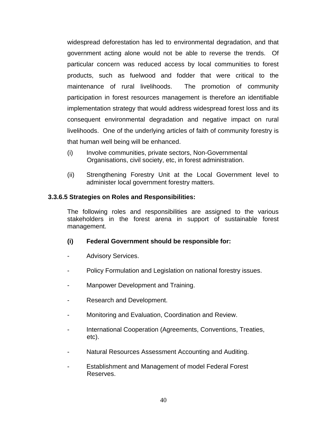widespread deforestation has led to environmental degradation, and that government acting alone would not be able to reverse the trends. Of particular concern was reduced access by local communities to forest products, such as fuelwood and fodder that were critical to the maintenance of rural livelihoods. The promotion of community participation in forest resources management is therefore an identifiable implementation strategy that would address widespread forest loss and its consequent environmental degradation and negative impact on rural livelihoods. One of the underlying articles of faith of community forestry is that human well being will be enhanced.

- (i) Involve communities, private sectors, Non-Governmental Organisations, civil society, etc, in forest administration.
- (ii) Strengthening Forestry Unit at the Local Government level to administer local government forestry matters.

### **3.3.6.5 Strategies on Roles and Responsibilities:**

The following roles and responsibilities are assigned to the various stakeholders in the forest arena in support of sustainable forest management.

### **(i) Federal Government should be responsible for:**

- Advisory Services.
- Policy Formulation and Legislation on national forestry issues.
- Manpower Development and Training.
- Research and Development.
- Monitoring and Evaluation, Coordination and Review.
- International Cooperation (Agreements, Conventions, Treaties, etc).
- Natural Resources Assessment Accounting and Auditing.
- Establishment and Management of model Federal Forest Reserves.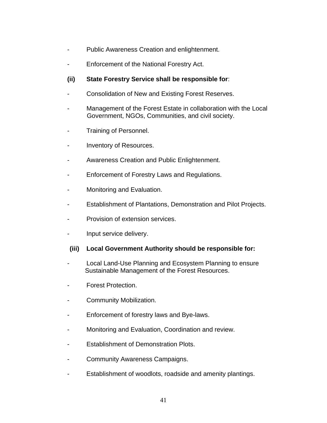- Public Awareness Creation and enlightenment.
- Enforcement of the National Forestry Act.

## **(ii) State Forestry Service shall be responsible for**:

- Consolidation of New and Existing Forest Reserves.
- Management of the Forest Estate in collaboration with the Local Government, NGOs, Communities, and civil society.
- Training of Personnel.
- Inventory of Resources.
- Awareness Creation and Public Enlightenment.
- Enforcement of Forestry Laws and Regulations.
- Monitoring and Evaluation.
- Establishment of Plantations, Demonstration and Pilot Projects.
- Provision of extension services.
- Input service delivery.

### **(iii) Local Government Authority should be responsible for:**

- Local Land-Use Planning and Ecosystem Planning to ensure Sustainable Management of the Forest Resources.
- Forest Protection.
- Community Mobilization.
- Enforcement of forestry laws and Bye-laws.
- Monitoring and Evaluation, Coordination and review.
- Establishment of Demonstration Plots.
- Community Awareness Campaigns.
- Establishment of woodlots, roadside and amenity plantings.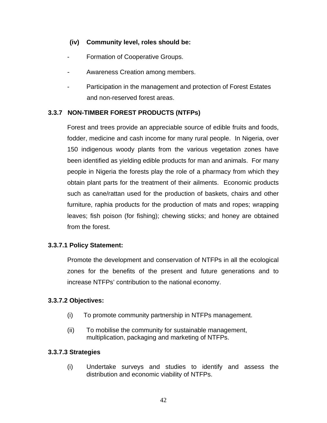## **(iv) Community level, roles should be:**

- Formation of Cooperative Groups.
- Awareness Creation among members.
- Participation in the management and protection of Forest Estates and non-reserved forest areas.

# **3.3.7 NON-TIMBER FOREST PRODUCTS (NTFPs)**

Forest and trees provide an appreciable source of edible fruits and foods, fodder, medicine and cash income for many rural people. In Nigeria, over 150 indigenous woody plants from the various vegetation zones have been identified as yielding edible products for man and animals. For many people in Nigeria the forests play the role of a pharmacy from which they obtain plant parts for the treatment of their ailments. Economic products such as cane/rattan used for the production of baskets, chairs and other furniture, raphia products for the production of mats and ropes; wrapping leaves; fish poison (for fishing); chewing sticks; and honey are obtained from the forest.

# **3.3.7.1 Policy Statement:**

Promote the development and conservation of NTFPs in all the ecological zones for the benefits of the present and future generations and to increase NTFPs' contribution to the national economy.

### **3.3.7.2 Objectives:**

- (i) To promote community partnership in NTFPs management.
- (ii) To mobilise the community for sustainable management, multiplication, packaging and marketing of NTFPs.

### **3.3.7.3 Strategies**

(i) Undertake surveys and studies to identify and assess the distribution and economic viability of NTFPs.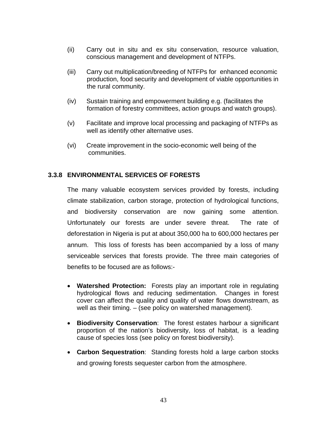- (ii) Carry out in situ and ex situ conservation, resource valuation, conscious management and development of NTFPs.
- (iii) Carry out multiplication/breeding of NTFPs for enhanced economic production, food security and development of viable opportunities in the rural community.
- (iv) Sustain training and empowerment building e.g. (facilitates the formation of forestry committees, action groups and watch groups).
- (v) Facilitate and improve local processing and packaging of NTFPs as well as identify other alternative uses.
- (vi) Create improvement in the socio-economic well being of the communities.

### **3.3.8 ENVIRONMENTAL SERVICES OF FORESTS**

The many valuable ecosystem services provided by forests, including climate stabilization, carbon storage, protection of hydrological functions, and biodiversity conservation are now gaining some attention. Unfortunately our forests are under severe threat. The rate of deforestation in Nigeria is put at about 350,000 ha to 600,000 hectares per annum. This loss of forests has been accompanied by a loss of many serviceable services that forests provide. The three main categories of benefits to be focused are as follows:-

- **Watershed Protection:** Forests play an important role in regulating hydrological flows and reducing sedimentation. Changes in forest cover can affect the quality and quality of water flows downstream, as well as their timing. – (see policy on watershed management).
- **Biodiversity Conservation**: The forest estates harbour a significant proportion of the nation's biodiversity, loss of habitat, is a leading cause of species loss (see policy on forest biodiversity).
- **Carbon Sequestration**: Standing forests hold a large carbon stocks and growing forests sequester carbon from the atmosphere.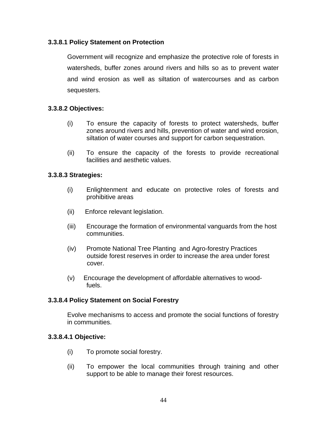## **3.3.8.1 Policy Statement on Protection**

Government will recognize and emphasize the protective role of forests in watersheds, buffer zones around rivers and hills so as to prevent water and wind erosion as well as siltation of watercourses and as carbon sequesters.

## **3.3.8.2 Objectives:**

- (i) To ensure the capacity of forests to protect watersheds, buffer zones around rivers and hills, prevention of water and wind erosion, siltation of water courses and support for carbon sequestration.
- (ii) To ensure the capacity of the forests to provide recreational facilities and aesthetic values.

### **3.3.8.3 Strategies:**

- (i) Enlightenment and educate on protective roles of forests and prohibitive areas
- (ii) Enforce relevant legislation.
- (iii) Encourage the formation of environmental vanguards from the host communities.
- (iv) Promote National Tree Planting and Agro-forestry Practices outside forest reserves in order to increase the area under forest cover.
- (v) Encourage the development of affordable alternatives to wood fuels.

### **3.3.8.4 Policy Statement on Social Forestry**

Evolve mechanisms to access and promote the social functions of forestry in communities.

### **3.3.8.4.1 Objective:**

- (i) To promote social forestry.
- (ii) To empower the local communities through training and other support to be able to manage their forest resources.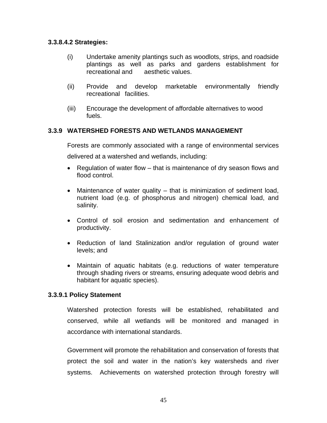### **3.3.8.4.2 Strategies:**

- (i) Undertake amenity plantings such as woodlots, strips, and roadside plantings as well as parks and gardens establishment for recreational and aesthetic values.
- (ii) Provide and develop marketable environmentally friendly recreational facilities.
- (iii) Encourage the development of affordable alternatives to wood fuels.

# **3.3.9 WATERSHED FORESTS AND WETLANDS MANAGEMENT**

Forests are commonly associated with a range of environmental services

delivered at a watershed and wetlands, including:

- Regulation of water flow that is maintenance of dry season flows and flood control.
- Maintenance of water quality that is minimization of sediment load, nutrient load (e.g. of phosphorus and nitrogen) chemical load, and salinity.
- Control of soil erosion and sedimentation and enhancement of productivity.
- Reduction of land Stalinization and/or regulation of ground water levels; and
- Maintain of aquatic habitats (e.g. reductions of water temperature through shading rivers or streams, ensuring adequate wood debris and habitant for aquatic species).

### **3.3.9.1 Policy Statement**

Watershed protection forests will be established, rehabilitated and conserved, while all wetlands will be monitored and managed in accordance with international standards.

Government will promote the rehabilitation and conservation of forests that protect the soil and water in the nation's key watersheds and river systems. Achievements on watershed protection through forestry will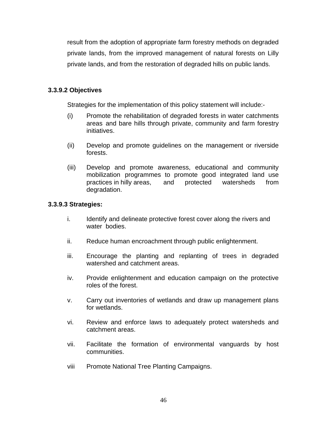result from the adoption of appropriate farm forestry methods on degraded private lands, from the improved management of natural forests on Lilly private lands, and from the restoration of degraded hills on public lands.

### **3.3.9.2 Objectives**

Strategies for the implementation of this policy statement will include:-

- (i) Promote the rehabilitation of degraded forests in water catchments areas and bare hills through private, community and farm forestry initiatives.
- (ii) Develop and promote guidelines on the management or riverside forests.
- (iii) Develop and promote awareness, educational and community mobilization programmes to promote good integrated land use practices in hilly areas, and protected watersheds from degradation.

## **3.3.9.3 Strategies:**

- i. Identify and delineate protective forest cover along the rivers and water bodies.
- ii. Reduce human encroachment through public enlightenment.
- iii. Encourage the planting and replanting of trees in degraded watershed and catchment areas.
- iv. Provide enlightenment and education campaign on the protective roles of the forest.
- v. Carry out inventories of wetlands and draw up management plans for wetlands.
- vi. Review and enforce laws to adequately protect watersheds and catchment areas.
- vii. Facilitate the formation of environmental vanguards by host communities.
- viii Promote National Tree Planting Campaigns.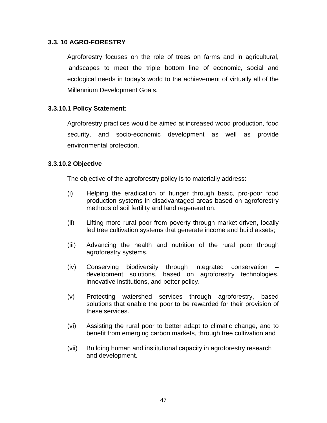### **3.3. 10 AGRO-FORESTRY**

Agroforestry focuses on the role of trees on farms and in agricultural, landscapes to meet the triple bottom line of economic, social and ecological needs in today's world to the achievement of virtually all of the Millennium Development Goals.

## **3.3.10.1 Policy Statement:**

Agroforestry practices would be aimed at increased wood production, food security, and socio-economic development as well as provide environmental protection.

### **3.3.10.2 Objective**

The objective of the agroforestry policy is to materially address:

- (i) Helping the eradication of hunger through basic, pro-poor food production systems in disadvantaged areas based on agroforestry methods of soil fertility and land regeneration.
- (ii) Lifting more rural poor from poverty through market-driven, locally led tree cultivation systems that generate income and build assets;
- (iii) Advancing the health and nutrition of the rural poor through agroforestry systems.
- (iv) Conserving biodiversity through integrated conservation development solutions, based on agroforestry technologies, innovative institutions, and better policy.
- (v) Protecting watershed services through agroforestry, based solutions that enable the poor to be rewarded for their provision of these services.
- (vi) Assisting the rural poor to better adapt to climatic change, and to benefit from emerging carbon markets, through tree cultivation and
- (vii) Building human and institutional capacity in agroforestry research and development.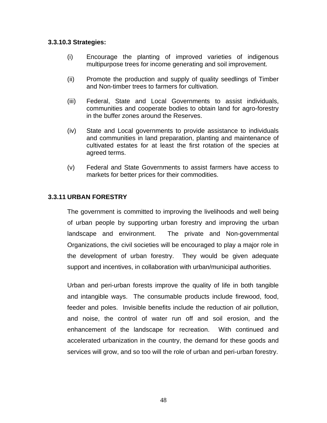#### **3.3.10.3 Strategies:**

- (i) Encourage the planting of improved varieties of indigenous multipurpose trees for income generating and soil improvement.
- (ii) Promote the production and supply of quality seedlings of Timber and Non-timber trees to farmers for cultivation.
- (iii) Federal, State and Local Governments to assist individuals, communities and cooperate bodies to obtain land for agro-forestry in the buffer zones around the Reserves.
- (iv) State and Local governments to provide assistance to individuals and communities in land preparation, planting and maintenance of cultivated estates for at least the first rotation of the species at agreed terms.
- (v) Federal and State Governments to assist farmers have access to markets for better prices for their commodities.

## **3.3.11 URBAN FORESTRY**

The government is committed to improving the livelihoods and well being of urban people by supporting urban forestry and improving the urban landscape and environment. The private and Non-governmental Organizations, the civil societies will be encouraged to play a major role in the development of urban forestry. They would be given adequate support and incentives, in collaboration with urban/municipal authorities.

Urban and peri-urban forests improve the quality of life in both tangible and intangible ways. The consumable products include firewood, food, feeder and poles. Invisible benefits include the reduction of air pollution, and noise, the control of water run off and soil erosion, and the enhancement of the landscape for recreation. With continued and accelerated urbanization in the country, the demand for these goods and services will grow, and so too will the role of urban and peri-urban forestry.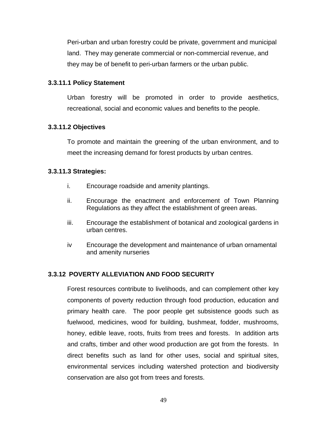Peri-urban and urban forestry could be private, government and municipal land. They may generate commercial or non-commercial revenue, and they may be of benefit to peri-urban farmers or the urban public.

### **3.3.11.1 Policy Statement**

Urban forestry will be promoted in order to provide aesthetics, recreational, social and economic values and benefits to the people.

## **3.3.11.2 Objectives**

To promote and maintain the greening of the urban environment, and to meet the increasing demand for forest products by urban centres.

### **3.3.11.3 Strategies:**

- i. Encourage roadside and amenity plantings.
- ii. Encourage the enactment and enforcement of Town Planning Regulations as they affect the establishment of green areas.
- iii. Encourage the establishment of botanical and zoological gardens in urban centres.
- iv Encourage the development and maintenance of urban ornamental and amenity nurseries

# **3.3.12 POVERTY ALLEVIATION AND FOOD SECURITY**

Forest resources contribute to livelihoods, and can complement other key components of poverty reduction through food production, education and primary health care. The poor people get subsistence goods such as fuelwood, medicines, wood for building, bushmeat, fodder, mushrooms, honey, edible leave, roots, fruits from trees and forests. In addition arts and crafts, timber and other wood production are got from the forests. In direct benefits such as land for other uses, social and spiritual sites, environmental services including watershed protection and biodiversity conservation are also got from trees and forests.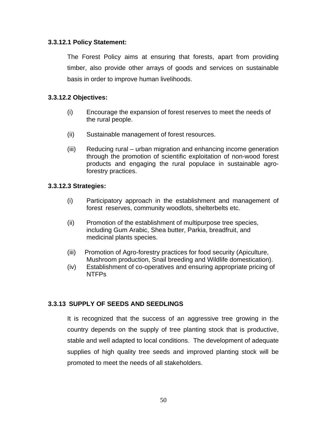### **3.3.12.1 Policy Statement:**

The Forest Policy aims at ensuring that forests, apart from providing timber, also provide other arrays of goods and services on sustainable basis in order to improve human livelihoods.

## **3.3.12.2 Objectives:**

- (i) Encourage the expansion of forest reserves to meet the needs of the rural people.
- (ii) Sustainable management of forest resources.
- (iii) Reducing rural urban migration and enhancing income generation through the promotion of scientific exploitation of non-wood forest products and engaging the rural populace in sustainable agroforestry practices.

## **3.3.12.3 Strategies:**

- (i) Participatory approach in the establishment and management of forest reserves, community woodlots, shelterbelts etc.
- (ii) Promotion of the establishment of multipurpose tree species, including Gum Arabic, Shea butter, Parkia, breadfruit, and medicinal plants species.
- (iii) Promotion of Agro-forestry practices for food security (Apiculture, Mushroom production, Snail breeding and Wildlife domestication).
- (iv) Establishment of co-operatives and ensuring appropriate pricing of NTFPs

# **3.3.13 SUPPLY OF SEEDS AND SEEDLINGS**

It is recognized that the success of an aggressive tree growing in the country depends on the supply of tree planting stock that is productive, stable and well adapted to local conditions. The development of adequate supplies of high quality tree seeds and improved planting stock will be promoted to meet the needs of all stakeholders.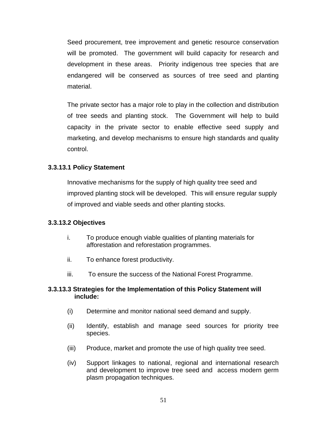Seed procurement, tree improvement and genetic resource conservation will be promoted. The government will build capacity for research and development in these areas. Priority indigenous tree species that are endangered will be conserved as sources of tree seed and planting material.

The private sector has a major role to play in the collection and distribution of tree seeds and planting stock. The Government will help to build capacity in the private sector to enable effective seed supply and marketing, and develop mechanisms to ensure high standards and quality control.

## **3.3.13.1 Policy Statement**

Innovative mechanisms for the supply of high quality tree seed and improved planting stock will be developed. This will ensure regular supply of improved and viable seeds and other planting stocks.

### **3.3.13.2 Objectives**

- i. To produce enough viable qualities of planting materials for afforestation and reforestation programmes.
- ii. To enhance forest productivity.
- iii. To ensure the success of the National Forest Programme.

## **3.3.13.3 Strategies for the Implementation of this Policy Statement will include:**

- (i) Determine and monitor national seed demand and supply.
- (ii) Identify, establish and manage seed sources for priority tree species.
- (iii) Produce, market and promote the use of high quality tree seed.
- (iv) Support linkages to national, regional and international research and development to improve tree seed and access modern germ plasm propagation techniques.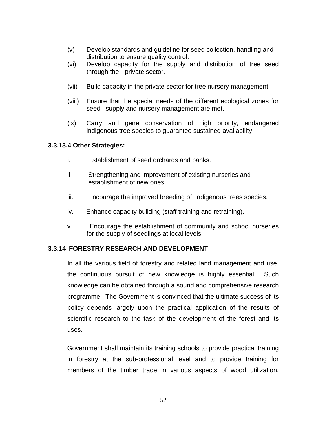- (v) Develop standards and guideline for seed collection, handling and distribution to ensure quality control.
- (vi) Develop capacity for the supply and distribution of tree seed through the private sector.
- (vii) Build capacity in the private sector for tree nursery management.
- (viii) Ensure that the special needs of the different ecological zones for seed supply and nursery management are met.
- (ix) Carry and gene conservation of high priority, endangered indigenous tree species to guarantee sustained availability.

## **3.3.13.4 Other Strategies:**

- i. Establishment of seed orchards and banks.
- ii Strengthening and improvement of existing nurseries and establishment of new ones.
- iii. Encourage the improved breeding of indigenous trees species.
- iv. Enhance capacity building (staff training and retraining).
- v. Encourage the establishment of community and school nurseries for the supply of seedlings at local levels.

# **3.3.14 FORESTRY RESEARCH AND DEVELOPMENT**

In all the various field of forestry and related land management and use, the continuous pursuit of new knowledge is highly essential. Such knowledge can be obtained through a sound and comprehensive research programme. The Government is convinced that the ultimate success of its policy depends largely upon the practical application of the results of scientific research to the task of the development of the forest and its uses.

Government shall maintain its training schools to provide practical training in forestry at the sub-professional level and to provide training for members of the timber trade in various aspects of wood utilization.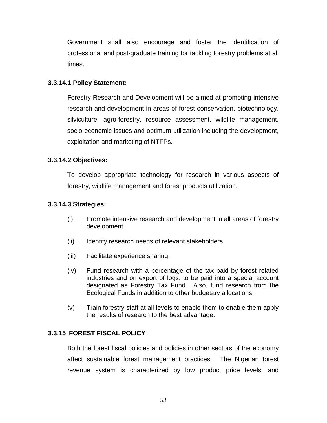Government shall also encourage and foster the identification of professional and post-graduate training for tackling forestry problems at all times.

### **3.3.14.1 Policy Statement:**

Forestry Research and Development will be aimed at promoting intensive research and development in areas of forest conservation, biotechnology, silviculture, agro-forestry, resource assessment, wildlife management, socio-economic issues and optimum utilization including the development, exploitation and marketing of NTFPs.

## **3.3.14.2 Objectives:**

To develop appropriate technology for research in various aspects of forestry, wildlife management and forest products utilization.

### **3.3.14.3 Strategies:**

- (i) Promote intensive research and development in all areas of forestry development.
- (ii) Identify research needs of relevant stakeholders.
- (iii) Facilitate experience sharing.
- (iv) Fund research with a percentage of the tax paid by forest related industries and on export of logs, to be paid into a special account designated as Forestry Tax Fund. Also, fund research from the Ecological Funds in addition to other budgetary allocations.
- (v) Train forestry staff at all levels to enable them to enable them apply the results of research to the best advantage.

# **3.3.15 FOREST FISCAL POLICY**

Both the forest fiscal policies and policies in other sectors of the economy affect sustainable forest management practices. The Nigerian forest revenue system is characterized by low product price levels, and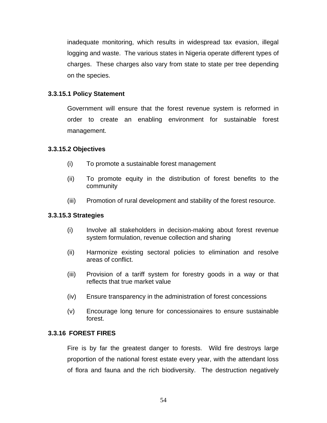inadequate monitoring, which results in widespread tax evasion, illegal logging and waste. The various states in Nigeria operate different types of charges. These charges also vary from state to state per tree depending on the species.

### **3.3.15.1 Policy Statement**

Government will ensure that the forest revenue system is reformed in order to create an enabling environment for sustainable forest management.

### **3.3.15.2 Objectives**

- (i) To promote a sustainable forest management
- (ii) To promote equity in the distribution of forest benefits to the community
- (iii) Promotion of rural development and stability of the forest resource.

### **3.3.15.3 Strategies**

- (i) Involve all stakeholders in decision-making about forest revenue system formulation, revenue collection and sharing
- (ii) Harmonize existing sectoral policies to elimination and resolve areas of conflict.
- (iii) Provision of a tariff system for forestry goods in a way or that reflects that true market value
- (iv) Ensure transparency in the administration of forest concessions
- (v) Encourage long tenure for concessionaires to ensure sustainable forest.

### **3.3.16 FOREST FIRES**

Fire is by far the greatest danger to forests. Wild fire destroys large proportion of the national forest estate every year, with the attendant loss of flora and fauna and the rich biodiversity. The destruction negatively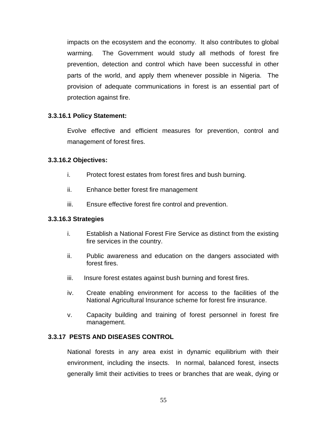impacts on the ecosystem and the economy. It also contributes to global warming. The Government would study all methods of forest fire prevention, detection and control which have been successful in other parts of the world, and apply them whenever possible in Nigeria. The provision of adequate communications in forest is an essential part of protection against fire.

### **3.3.16.1 Policy Statement:**

Evolve effective and efficient measures for prevention, control and management of forest fires.

### **3.3.16.2 Objectives:**

- i. Protect forest estates from forest fires and bush burning.
- ii. Enhance better forest fire management
- iii. Ensure effective forest fire control and prevention.

### **3.3.16.3 Strategies**

- i. Establish a National Forest Fire Service as distinct from the existing fire services in the country.
- ii. Public awareness and education on the dangers associated with forest fires.
- iii. Insure forest estates against bush burning and forest fires.
- iv. Create enabling environment for access to the facilities of the National Agricultural Insurance scheme for forest fire insurance.
- v. Capacity building and training of forest personnel in forest fire management.

# **3.3.17 PESTS AND DISEASES CONTROL**

National forests in any area exist in dynamic equilibrium with their environment, including the insects. In normal, balanced forest, insects generally limit their activities to trees or branches that are weak, dying or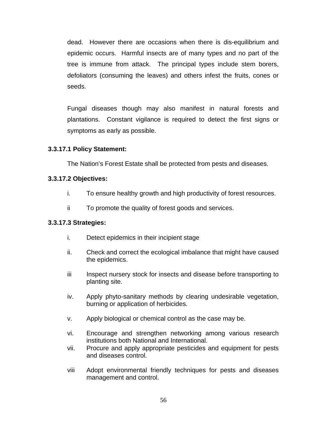dead. However there are occasions when there is dis-equilibrium and epidemic occurs. Harmful insects are of many types and no part of the tree is immune from attack. The principal types include stem borers, defoliators (consuming the leaves) and others infest the fruits, cones or seeds.

Fungal diseases though may also manifest in natural forests and plantations. Constant vigilance is required to detect the first signs or symptoms as early as possible.

## **3.3.17.1 Policy Statement:**

The Nation's Forest Estate shall be protected from pests and diseases.

### **3.3.17.2 Objectives:**

- i. To ensure healthy growth and high productivity of forest resources.
- ii To promote the quality of forest goods and services.

### **3.3.17.3 Strategies:**

- i. Detect epidemics in their incipient stage
- ii. Check and correct the ecological imbalance that might have caused the epidemics.
- iii Inspect nursery stock for insects and disease before transporting to planting site.
- iv. Apply phyto-sanitary methods by clearing undesirable vegetation, burning or application of herbicides.
- v. Apply biological or chemical control as the case may be.
- vi. Encourage and strengthen networking among various research institutions both National and International.
- vii. Procure and apply appropriate pesticides and equipment for pests and diseases control.
- viii Adopt environmental friendly techniques for pests and diseases management and control.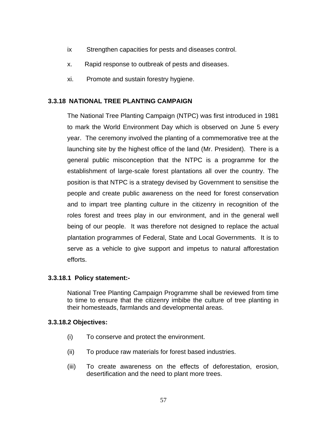- ix Strengthen capacities for pests and diseases control.
- x. Rapid response to outbreak of pests and diseases.
- xi. Promote and sustain forestry hygiene.

## **3.3.18 NATIONAL TREE PLANTING CAMPAIGN**

The National Tree Planting Campaign (NTPC) was first introduced in 1981 to mark the World Environment Day which is observed on June 5 every year. The ceremony involved the planting of a commemorative tree at the launching site by the highest office of the land (Mr. President). There is a general public misconception that the NTPC is a programme for the establishment of large-scale forest plantations all over the country. The position is that NTPC is a strategy devised by Government to sensitise the people and create public awareness on the need for forest conservation and to impart tree planting culture in the citizenry in recognition of the roles forest and trees play in our environment, and in the general well being of our people. It was therefore not designed to replace the actual plantation programmes of Federal, State and Local Governments. It is to serve as a vehicle to give support and impetus to natural afforestation efforts.

### **3.3.18.1 Policy statement:-**

National Tree Planting Campaign Programme shall be reviewed from time to time to ensure that the citizenry imbibe the culture of tree planting in their homesteads, farmlands and developmental areas.

### **3.3.18.2 Objectives:**

- (i) To conserve and protect the environment.
- (ii) To produce raw materials for forest based industries.
- (iii) To create awareness on the effects of deforestation, erosion, desertification and the need to plant more trees.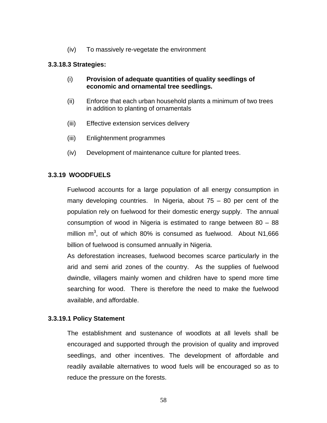(iv) To massively re-vegetate the environment

#### **3.3.18.3 Strategies:**

- (i) **Provision of adequate quantities of quality seedlings of economic and ornamental tree seedlings.**
- (ii) Enforce that each urban household plants a minimum of two trees in addition to planting of ornamentals
- (iii) Effective extension services delivery
- (iii) Enlightenment programmes
- (iv) Development of maintenance culture for planted trees.

### **3.3.19 WOODFUELS**

Fuelwood accounts for a large population of all energy consumption in many developing countries. In Nigeria, about 75 – 80 per cent of the population rely on fuelwood for their domestic energy supply. The annual consumption of wood in Nigeria is estimated to range between 80 – 88 million  $m^3$ , out of which 80% is consumed as fuelwood. About N1,666 billion of fuelwood is consumed annually in Nigeria.

As deforestation increases, fuelwood becomes scarce particularly in the arid and semi arid zones of the country. As the supplies of fuelwood dwindle, villagers mainly women and children have to spend more time searching for wood. There is therefore the need to make the fuelwood available, and affordable.

### **3.3.19.1 Policy Statement**

The establishment and sustenance of woodlots at all levels shall be encouraged and supported through the provision of quality and improved seedlings, and other incentives. The development of affordable and readily available alternatives to wood fuels will be encouraged so as to reduce the pressure on the forests.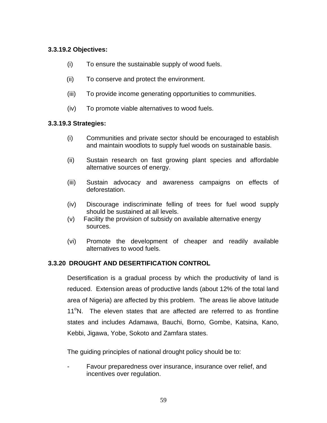## **3.3.19.2 Objectives:**

- (i) To ensure the sustainable supply of wood fuels.
- (ii) To conserve and protect the environment.
- (iii) To provide income generating opportunities to communities.
- (iv) To promote viable alternatives to wood fuels.

## **3.3.19.3 Strategies:**

- (i) Communities and private sector should be encouraged to establish and maintain woodlots to supply fuel woods on sustainable basis.
- (ii) Sustain research on fast growing plant species and affordable alternative sources of energy.
- (iii) Sustain advocacy and awareness campaigns on effects of deforestation.
- (iv) Discourage indiscriminate felling of trees for fuel wood supply should be sustained at all levels.
- (v) Facility the provision of subsidy on available alternative energy sources.
- (vi) Promote the development of cheaper and readily available alternatives to wood fuels.

# **3.3.20 DROUGHT AND DESERTIFICATION CONTROL**

Desertification is a gradual process by which the productivity of land is reduced. Extension areas of productive lands (about 12% of the total land area of Nigeria) are affected by this problem. The areas lie above latitude 11<sup>°</sup>N. The eleven states that are affected are referred to as frontline states and includes Adamawa, Bauchi, Borno, Gombe, Katsina, Kano, Kebbi, Jigawa, Yobe, Sokoto and Zamfara states.

The guiding principles of national drought policy should be to:

Favour preparedness over insurance, insurance over relief, and incentives over regulation.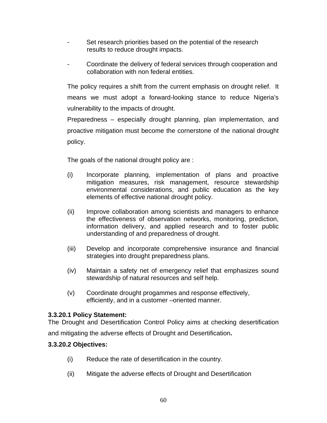- Set research priorities based on the potential of the research results to reduce drought impacts.
- Coordinate the delivery of federal services through cooperation and collaboration with non federal entities.

The policy requires a shift from the current emphasis on drought relief. It means we must adopt a forward-looking stance to reduce Nigeria's vulnerability to the impacts of drought.

Preparedness – especially drought planning, plan implementation, and proactive mitigation must become the cornerstone of the national drought policy.

The goals of the national drought policy are :

- (i) Incorporate planning, implementation of plans and proactive mitigation measures, risk management, resource stewardship environmental considerations, and public education as the key elements of effective national drought policy.
- (ii) Improve collaboration among scientists and managers to enhance the effectiveness of observation networks, monitoring, prediction, information delivery, and applied research and to foster public understanding of and preparedness of drought.
- (iii) Develop and incorporate comprehensive insurance and financial strategies into drought preparedness plans.
- (iv) Maintain a safety net of emergency relief that emphasizes sound stewardship of natural resources and self help.
- (v) Coordinate drought progammes and response effectively, efficiently, and in a customer –oriented manner.

# **3.3.20.1 Policy Statement:**

The Drought and Desertification Control Policy aims at checking desertification

and mitigating the adverse effects of Drought and Desertification**.** 

# **3.3.20.2 Objectives:**

- (i) Reduce the rate of desertification in the country.
- (ii) Mitigate the adverse effects of Drought and Desertification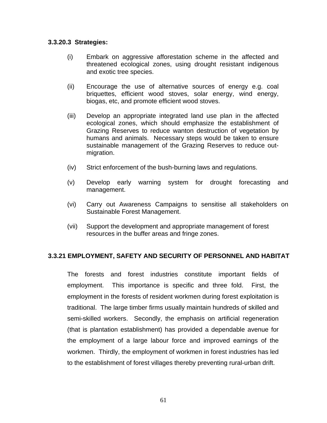#### **3.3.20.3 Strategies:**

- (i) Embark on aggressive afforestation scheme in the affected and threatened ecological zones, using drought resistant indigenous and exotic tree species.
- (ii) Encourage the use of alternative sources of energy e.g. coal briquettes, efficient wood stoves, solar energy, wind energy, biogas, etc, and promote efficient wood stoves.
- (iii) Develop an appropriate integrated land use plan in the affected ecological zones, which should emphasize the establishment of Grazing Reserves to reduce wanton destruction of vegetation by humans and animals. Necessary steps would be taken to ensure sustainable management of the Grazing Reserves to reduce outmigration.
- (iv) Strict enforcement of the bush-burning laws and regulations.
- (v) Develop early warning system for drought forecasting and management.
- (vi) Carry out Awareness Campaigns to sensitise all stakeholders on Sustainable Forest Management.
- (vii) Support the development and appropriate management of forest resources in the buffer areas and fringe zones.

### **3.3.21 EMPLOYMENT, SAFETY AND SECURITY OF PERSONNEL AND HABITAT**

The forests and forest industries constitute important fields of employment. This importance is specific and three fold. First, the employment in the forests of resident workmen during forest exploitation is traditional. The large timber firms usually maintain hundreds of skilled and semi-skilled workers. Secondly, the emphasis on artificial regeneration (that is plantation establishment) has provided a dependable avenue for the employment of a large labour force and improved earnings of the workmen. Thirdly, the employment of workmen in forest industries has led to the establishment of forest villages thereby preventing rural-urban drift.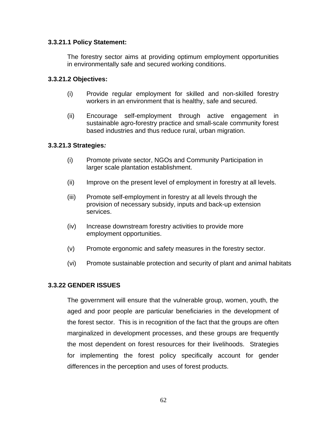#### **3.3.21.1 Policy Statement:**

The forestry sector aims at providing optimum employment opportunities in environmentally safe and secured working conditions.

#### **3.3.21.2 Objectives:**

- (i) Provide regular employment for skilled and non-skilled forestry workers in an environment that is healthy, safe and secured.
- (ii) Encourage self-employment through active engagement in sustainable agro-forestry practice and small-scale community forest based industries and thus reduce rural, urban migration.

#### **3.3.21.3 Strategies***:*

- (i) Promote private sector, NGOs and Community Participation in larger scale plantation establishment.
- (ii) Improve on the present level of employment in forestry at all levels.
- (iii) Promote self-employment in forestry at all levels through the provision of necessary subsidy, inputs and back-up extension services.
- (iv) Increase downstream forestry activities to provide more employment opportunities.
- (v) Promote ergonomic and safety measures in the forestry sector.
- (vi) Promote sustainable protection and security of plant and animal habitats

### **3.3.22 GENDER ISSUES**

The government will ensure that the vulnerable group, women, youth, the aged and poor people are particular beneficiaries in the development of the forest sector. This is in recognition of the fact that the groups are often marginalized in development processes, and these groups are frequently the most dependent on forest resources for their livelihoods. Strategies for implementing the forest policy specifically account for gender differences in the perception and uses of forest products.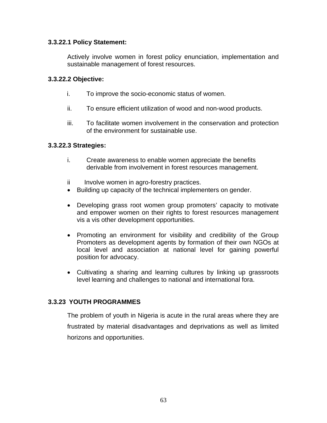### **3.3.22.1 Policy Statement:**

Actively involve women in forest policy enunciation, implementation and sustainable management of forest resources.

### **3.3.22.2 Objective:**

- i. To improve the socio-economic status of women.
- ii. To ensure efficient utilization of wood and non-wood products.
- iii. To facilitate women involvement in the conservation and protection of the environment for sustainable use.

### **3.3.22.3 Strategies:**

- i. Create awareness to enable women appreciate the benefits derivable from involvement in forest resources management.
- ii Involve women in agro-forestry practices.
- Building up capacity of the technical implementers on gender.
- Developing grass root women group promoters' capacity to motivate and empower women on their rights to forest resources management vis a vis other development opportunities.
- Promoting an environment for visibility and credibility of the Group Promoters as development agents by formation of their own NGOs at local level and association at national level for gaining powerful position for advocacy.
- Cultivating a sharing and learning cultures by linking up grassroots level learning and challenges to national and international fora.

# **3.3.23 YOUTH PROGRAMMES**

The problem of youth in Nigeria is acute in the rural areas where they are frustrated by material disadvantages and deprivations as well as limited horizons and opportunities.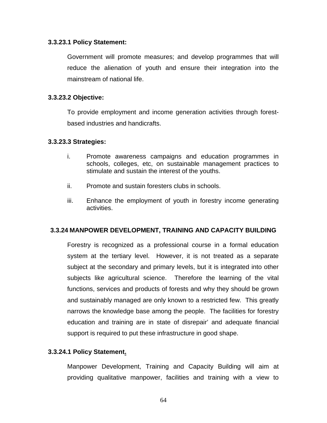#### **3.3.23.1 Policy Statement:**

Government will promote measures; and develop programmes that will reduce the alienation of youth and ensure their integration into the mainstream of national life.

#### **3.3.23.2 Objective:**

To provide employment and income generation activities through forestbased industries and handicrafts.

#### **3.3.23.3 Strategies:**

- i. Promote awareness campaigns and education programmes in schools, colleges, etc, on sustainable management practices to stimulate and sustain the interest of the youths.
- ii. Promote and sustain foresters clubs in schools.
- iii. Enhance the employment of youth in forestry income generating activities.

#### **3.3.24 MANPOWER DEVELOPMENT, TRAINING AND CAPACITY BUILDING**

Forestry is recognized as a professional course in a formal education system at the tertiary level. However, it is not treated as a separate subject at the secondary and primary levels, but it is integrated into other subjects like agricultural science. Therefore the learning of the vital functions, services and products of forests and why they should be grown and sustainably managed are only known to a restricted few. This greatly narrows the knowledge base among the people. The facilities for forestry education and training are in state of disrepair' and adequate financial support is required to put these infrastructure in good shape.

### **3.3.24.1 Policy Statement.**

Manpower Development, Training and Capacity Building will aim at providing qualitative manpower, facilities and training with a view to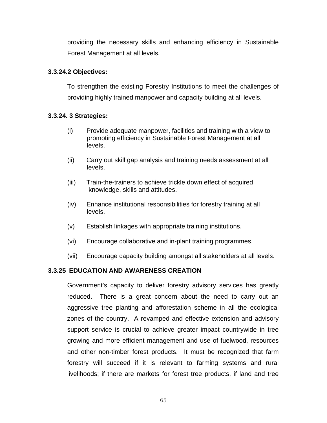providing the necessary skills and enhancing efficiency in Sustainable Forest Management at all levels.

## **3.3.24.2 Objectives:**

To strengthen the existing Forestry Institutions to meet the challenges of providing highly trained manpower and capacity building at all levels.

## **3.3.24. 3 Strategies:**

- (i) Provide adequate manpower, facilities and training with a view to promoting efficiency in Sustainable Forest Management at all levels.
- (ii) Carry out skill gap analysis and training needs assessment at all levels.
- (iii) Train-the-trainers to achieve trickle down effect of acquired knowledge, skills and attitudes.
- (iv) Enhance institutional responsibilities for forestry training at all levels.
- (v) Establish linkages with appropriate training institutions.
- (vi) Encourage collaborative and in-plant training programmes.
- (vii) Encourage capacity building amongst all stakeholders at all levels.

# **3.3.25 EDUCATION AND AWARENESS CREATION**

Government's capacity to deliver forestry advisory services has greatly reduced. There is a great concern about the need to carry out an aggressive tree planting and afforestation scheme in all the ecological zones of the country. A revamped and effective extension and advisory support service is crucial to achieve greater impact countrywide in tree growing and more efficient management and use of fuelwood, resources and other non-timber forest products. It must be recognized that farm forestry will succeed if it is relevant to farming systems and rural livelihoods; if there are markets for forest tree products, if land and tree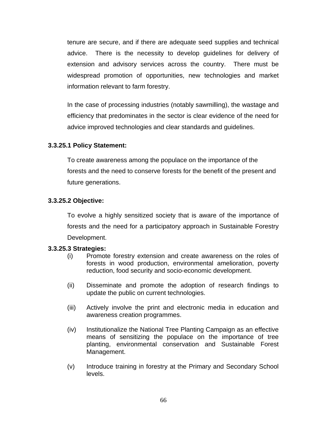tenure are secure, and if there are adequate seed supplies and technical advice. There is the necessity to develop guidelines for delivery of extension and advisory services across the country. There must be widespread promotion of opportunities, new technologies and market information relevant to farm forestry.

In the case of processing industries (notably sawmilling), the wastage and efficiency that predominates in the sector is clear evidence of the need for advice improved technologies and clear standards and guidelines.

### **3.3.25.1 Policy Statement:**

To create awareness among the populace on the importance of the forests and the need to conserve forests for the benefit of the present and future generations.

## **3.3.25.2 Objective:**

To evolve a highly sensitized society that is aware of the importance of forests and the need for a participatory approach in Sustainable Forestry Development.

### **3.3.25.3 Strategies:**

- (i) Promote forestry extension and create awareness on the roles of forests in wood production, environmental amelioration, poverty reduction, food security and socio-economic development.
- (ii) Disseminate and promote the adoption of research findings to update the public on current technologies.
- (iii) Actively involve the print and electronic media in education and awareness creation programmes.
- (iv) Institutionalize the National Tree Planting Campaign as an effective means of sensitizing the populace on the importance of tree planting, environmental conservation and Sustainable Forest Management.
- (v) Introduce training in forestry at the Primary and Secondary School levels.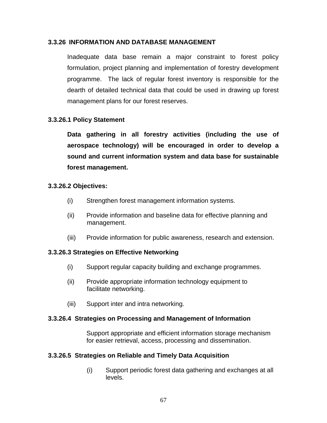#### **3.3.26 INFORMATION AND DATABASE MANAGEMENT**

Inadequate data base remain a major constraint to forest policy formulation, project planning and implementation of forestry development programme. The lack of regular forest inventory is responsible for the dearth of detailed technical data that could be used in drawing up forest management plans for our forest reserves.

## **3.3.26.1 Policy Statement**

**Data gathering in all forestry activities (including the use of aerospace technology) will be encouraged in order to develop a sound and current information system and data base for sustainable forest management.** 

#### **3.3.26.2 Objectives:**

- (i) Strengthen forest management information systems.
- (ii) Provide information and baseline data for effective planning and management.
- (iii) Provide information for public awareness, research and extension.

#### **3.3.26.3 Strategies on Effective Networking**

- (i) Support regular capacity building and exchange programmes.
- (ii) Provide appropriate information technology equipment to facilitate networking.
- (iii) Support inter and intra networking.

#### **3.3.26.4 Strategies on Processing and Management of Information**

Support appropriate and efficient information storage mechanism for easier retrieval, access, processing and dissemination.

#### **3.3.26.5 Strategies on Reliable and Timely Data Acquisition**

 (i) Support periodic forest data gathering and exchanges at all levels.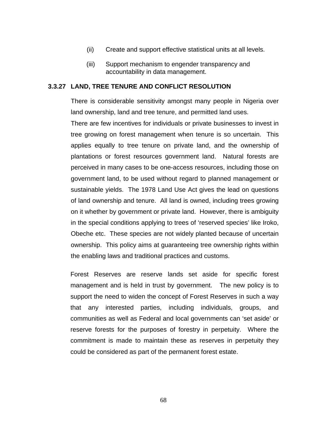- (ii) Create and support effective statistical units at all levels.
- (iii) Support mechanism to engender transparency and accountability in data management.

#### **3.3.27 LAND, TREE TENURE AND CONFLICT RESOLUTION**

There is considerable sensitivity amongst many people in Nigeria over land ownership, land and tree tenure, and permitted land uses.

There are few incentives for individuals or private businesses to invest in tree growing on forest management when tenure is so uncertain. This applies equally to tree tenure on private land, and the ownership of plantations or forest resources government land. Natural forests are perceived in many cases to be one-access resources, including those on government land, to be used without regard to planned management or sustainable yields. The 1978 Land Use Act gives the lead on questions of land ownership and tenure. All land is owned, including trees growing on it whether by government or private land. However, there is ambiguity in the special conditions applying to trees of 'reserved species' like Iroko, Obeche etc. These species are not widely planted because of uncertain ownership. This policy aims at guaranteeing tree ownership rights within the enabling laws and traditional practices and customs.

Forest Reserves are reserve lands set aside for specific forest management and is held in trust by government. The new policy is to support the need to widen the concept of Forest Reserves in such a way that any interested parties, including individuals, groups, and communities as well as Federal and local governments can 'set aside' or reserve forests for the purposes of forestry in perpetuity. Where the commitment is made to maintain these as reserves in perpetuity they could be considered as part of the permanent forest estate.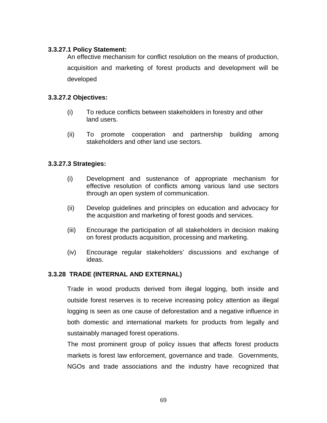#### **3.3.27.1 Policy Statement:**

An effective mechanism for conflict resolution on the means of production, acquisition and marketing of forest products and development will be developed

#### **3.3.27.2 Objectives:**

- (i) To reduce conflicts between stakeholders in forestry and other land users.
- (ii) To promote cooperation and partnership building among stakeholders and other land use sectors.

## **3.3.27.3 Strategies:**

- (i) Development and sustenance of appropriate mechanism for effective resolution of conflicts among various land use sectors through an open system of communication.
- (ii) Develop guidelines and principles on education and advocacy for the acquisition and marketing of forest goods and services.
- (iii) Encourage the participation of all stakeholders in decision making on forest products acquisition, processing and marketing.
- (iv) Encourage regular stakeholders' discussions and exchange of ideas.

# **3.3.28 TRADE (INTERNAL AND EXTERNAL)**

Trade in wood products derived from illegal logging, both inside and outside forest reserves is to receive increasing policy attention as illegal logging is seen as one cause of deforestation and a negative influence in both domestic and international markets for products from legally and sustainably managed forest operations.

The most prominent group of policy issues that affects forest products markets is forest law enforcement, governance and trade. Governments, NGOs and trade associations and the industry have recognized that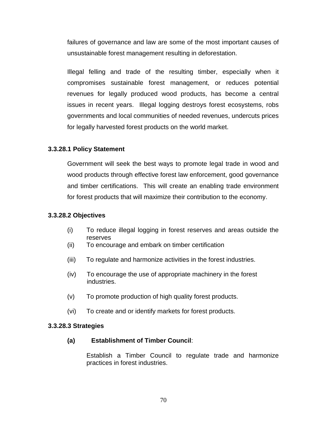failures of governance and law are some of the most important causes of unsustainable forest management resulting in deforestation.

Illegal felling and trade of the resulting timber, especially when it compromises sustainable forest management, or reduces potential revenues for legally produced wood products, has become a central issues in recent years. Illegal logging destroys forest ecosystems, robs governments and local communities of needed revenues, undercuts prices for legally harvested forest products on the world market.

#### **3.3.28.1 Policy Statement**

Government will seek the best ways to promote legal trade in wood and wood products through effective forest law enforcement, good governance and timber certifications. This will create an enabling trade environment for forest products that will maximize their contribution to the economy.

#### **3.3.28.2 Objectives**

- (i) To reduce illegal logging in forest reserves and areas outside the reserves
- (ii) To encourage and embark on timber certification
- (iii) To regulate and harmonize activities in the forest industries.
- (iv) To encourage the use of appropriate machinery in the forest industries.
- (v) To promote production of high quality forest products.
- (vi) To create and or identify markets for forest products.

#### **3.3.28.3 Strategies**

#### **(a) Establishment of Timber Council**:

Establish a Timber Council to regulate trade and harmonize practices in forest industries.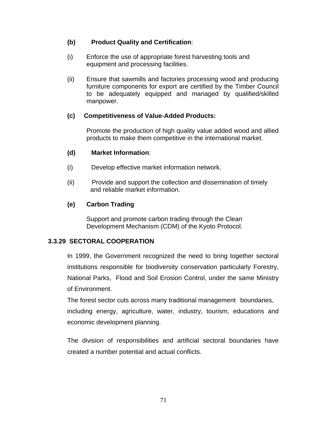## **(b) Product Quality and Certification**:

- (i) Enforce the use of appropriate forest harvesting tools and equipment and processing facilities.
- (ii) Ensure that sawmills and factories processing wood and producing furniture components for export are certified by the Timber Council to be adequately equipped and managed by qualified/skilled manpower.

## **(c) Competitiveness of Value-Added Products:**

Promote the production of high quality value added wood and allied products to make them competitive in the international market.

## **(d) Market Information**:

- (i) Develop effective market information network.
- (ii) Provide and support the collection and dissemination of timely and reliable market information.

## **(e) Carbon Trading**

Support and promote carbon trading through the Clean Development Mechanism (CDM) of the Kyoto Protocol.

# **3.3.29 SECTORAL COOPERATION**

In 1999, the Government recognized the need to bring together sectoral institutions responsible for biodiversity conservation particularly Forestry, National Parks, Flood and Soil Erosion Control, under the same Ministry of Environment.

The forest sector cuts across many traditional management boundaries, including energy, agriculture, water, industry, tourism, educations and economic development planning.

The division of responsibilities and artificial sectoral boundaries have created a number potential and actual conflicts.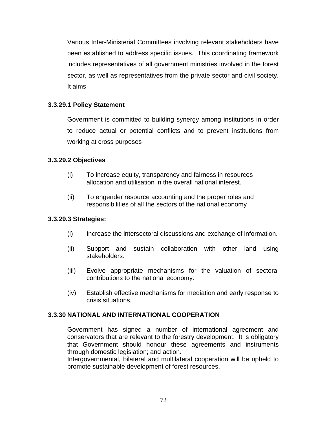Various Inter-Ministerial Committees involving relevant stakeholders have been established to address specific issues. This coordinating framework includes representatives of all government ministries involved in the forest sector, as well as representatives from the private sector and civil society. It aims

## **3.3.29.1 Policy Statement**

Government is committed to building synergy among institutions in order to reduce actual or potential conflicts and to prevent institutions from working at cross purposes

#### **3.3.29.2 Objectives**

- (i) To increase equity, transparency and fairness in resources allocation and utilisation in the overall national interest.
- (ii) To engender resource accounting and the proper roles and responsibilities of all the sectors of the national economy

#### **3.3.29.3 Strategies:**

- (i) Increase the intersectoral discussions and exchange of information.
- (ii) Support and sustain collaboration with other land using stakeholders.
- (iii) Evolve appropriate mechanisms for the valuation of sectoral contributions to the national economy.
- (iv) Establish effective mechanisms for mediation and early response to crisis situations.

# **3.3.30 NATIONAL AND INTERNATIONAL COOPERATION**

Government has signed a number of international agreement and conservators that are relevant to the forestry development. It is obligatory that Government should honour these agreements and instruments through domestic legislation; and action.

Intergovernmental, bilateral and multilateral cooperation will be upheld to promote sustainable development of forest resources.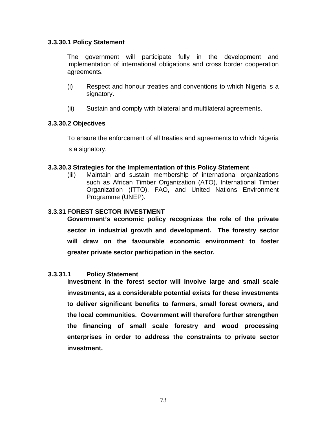#### **3.3.30.1 Policy Statement**

The government will participate fully in the development and implementation of international obligations and cross border cooperation agreements.

- (i) Respect and honour treaties and conventions to which Nigeria is a signatory.
- (ii) Sustain and comply with bilateral and multilateral agreements.

#### **3.3.30.2 Objectives**

To ensure the enforcement of all treaties and agreements to which Nigeria is a signatory.

#### **3.3.30.3 Strategies for the Implementation of this Policy Statement**

(iii) Maintain and sustain membership of international organizations such as African Timber Organization (ATO), International Timber Organization (ITTO), FAO, and United Nations Environment Programme (UNEP).

#### **3.3.31 FOREST SECTOR INVESTMENT**

 **Government's economic policy recognizes the role of the private sector in industrial growth and development. The forestry sector will draw on the favourable economic environment to foster greater private sector participation in the sector.** 

#### **3.3.31.1 Policy Statement**

**Investment in the forest sector will involve large and small scale investments, as a considerable potential exists for these investments to deliver significant benefits to farmers, small forest owners, and the local communities. Government will therefore further strengthen the financing of small scale forestry and wood processing enterprises in order to address the constraints to private sector investment.**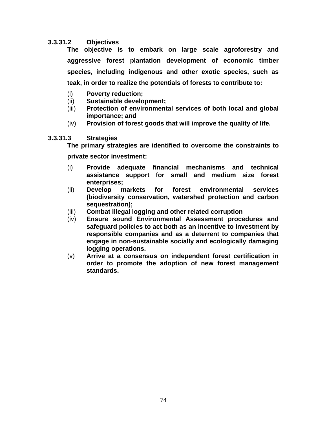#### **3.3.31.2 Objectives**

**The objective is to embark on large scale agroforestry and aggressive forest plantation development of economic timber species, including indigenous and other exotic species, such as teak, in order to realize the potentials of forests to contribute to:** 

- (i) **Poverty reduction;**
- (ii) **Sustainable development;**
- (iii) **Protection of environmental services of both local and global importance; and**
- (iv) **Provision of forest goods that will improve the quality of life.**

#### **3.3.31.3 Strategies**

**The primary strategies are identified to overcome the constraints to** 

**private sector investment:** 

- (i) **Provide adequate financial mechanisms and technical assistance support for small and medium size forest enterprises;**
- (ii) **Develop markets for forest environmental services (biodiversity conservation, watershed protection and carbon sequestration);**
- (iii) **Combat illegal logging and other related corruption**
- (iv) **Ensure sound Environmental Assessment procedures and safeguard policies to act both as an incentive to investment by responsible companies and as a deterrent to companies that engage in non-sustainable socially and ecologically damaging logging operations.**
- (v) **Arrive at a consensus on independent forest certification in order to promote the adoption of new forest management standards.**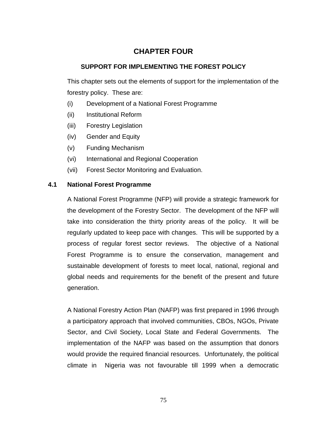# **CHAPTER FOUR**

# **SUPPORT FOR IMPLEMENTING THE FOREST POLICY**

This chapter sets out the elements of support for the implementation of the forestry policy. These are:

- (i) Development of a National Forest Programme
- (ii) Institutional Reform
- (iii) Forestry Legislation
- (iv) Gender and Equity
- (v) Funding Mechanism
- (vi) International and Regional Cooperation
- (vii) Forest Sector Monitoring and Evaluation.

# **4.1 National Forest Programme**

A National Forest Programme (NFP) will provide a strategic framework for the development of the Forestry Sector. The development of the NFP will take into consideration the thirty priority areas of the policy. It will be regularly updated to keep pace with changes. This will be supported by a process of regular forest sector reviews. The objective of a National Forest Programme is to ensure the conservation, management and sustainable development of forests to meet local, national, regional and global needs and requirements for the benefit of the present and future generation.

A National Forestry Action Plan (NAFP) was first prepared in 1996 through a participatory approach that involved communities, CBOs, NGOs, Private Sector, and Civil Society, Local State and Federal Governments. The implementation of the NAFP was based on the assumption that donors would provide the required financial resources. Unfortunately, the political climate in Nigeria was not favourable till 1999 when a democratic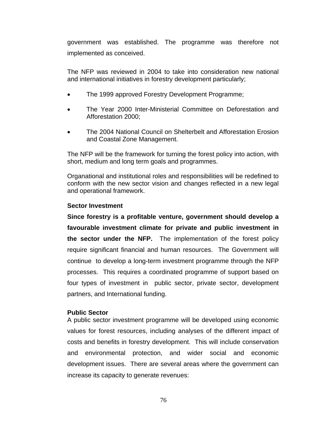government was established. The programme was therefore not implemented as conceived.

The NFP was reviewed in 2004 to take into consideration new national and international initiatives in forestry development particularly;

- The 1999 approved Forestry Development Programme;
- The Year 2000 Inter-Ministerial Committee on Deforestation and Afforestation 2000;
- The 2004 National Council on Shelterbelt and Afforestation Erosion and Coastal Zone Management.

The NFP will be the framework for turning the forest policy into action, with short, medium and long term goals and programmes.

Organational and institutional roles and responsibilities will be redefined to conform with the new sector vision and changes reflected in a new legal and operational framework.

#### **Sector Investment**

**Since forestry is a profitable venture, government should develop a favourable investment climate for private and public investment in the sector under the NFP.** The implementation of the forest policy require significant financial and human resources. The Government will continue to develop a long-term investment programme through the NFP processes. This requires a coordinated programme of support based on four types of investment in public sector, private sector, development partners, and International funding.

#### **Public Sector**

A public sector investment programme will be developed using economic values for forest resources, including analyses of the different impact of costs and benefits in forestry development. This will include conservation and environmental protection, and wider social and economic development issues. There are several areas where the government can increase its capacity to generate revenues: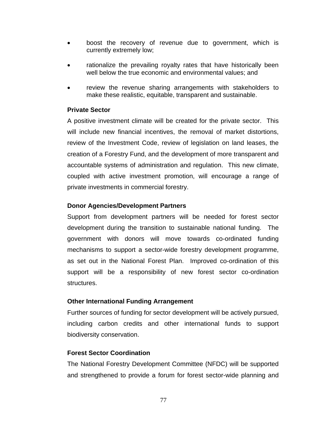- boost the recovery of revenue due to government, which is currently extremely low;
- rationalize the prevailing royalty rates that have historically been well below the true economic and environmental values; and
- review the revenue sharing arrangements with stakeholders to make these realistic, equitable, transparent and sustainable.

#### **Private Sector**

A positive investment climate will be created for the private sector. This will include new financial incentives, the removal of market distortions, review of the Investment Code, review of legislation on land leases, the creation of a Forestry Fund, and the development of more transparent and accountable systems of administration and regulation. This new climate, coupled with active investment promotion, will encourage a range of private investments in commercial forestry.

## **Donor Agencies/Development Partners**

Support from development partners will be needed for forest sector development during the transition to sustainable national funding. The government with donors will move towards co-ordinated funding mechanisms to support a sector-wide forestry development programme, as set out in the National Forest Plan. Improved co-ordination of this support will be a responsibility of new forest sector co-ordination structures.

#### **Other International Funding Arrangement**

Further sources of funding for sector development will be actively pursued, including carbon credits and other international funds to support biodiversity conservation.

#### **Forest Sector Coordination**

The National Forestry Development Committee (NFDC) will be supported and strengthened to provide a forum for forest sector-wide planning and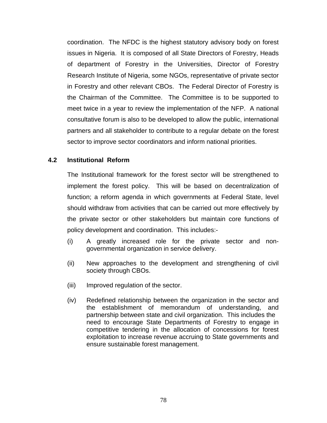coordination. The NFDC is the highest statutory advisory body on forest issues in Nigeria. It is composed of all State Directors of Forestry, Heads of department of Forestry in the Universities, Director of Forestry Research Institute of Nigeria, some NGOs, representative of private sector in Forestry and other relevant CBOs. The Federal Director of Forestry is the Chairman of the Committee. The Committee is to be supported to meet twice in a year to review the implementation of the NFP. A national consultative forum is also to be developed to allow the public, international partners and all stakeholder to contribute to a regular debate on the forest sector to improve sector coordinators and inform national priorities.

#### **4.2 Institutional Reform**

The Institutional framework for the forest sector will be strengthened to implement the forest policy. This will be based on decentralization of function; a reform agenda in which governments at Federal State, level should withdraw from activities that can be carried out more effectively by the private sector or other stakeholders but maintain core functions of policy development and coordination. This includes:-

- (i) A greatly increased role for the private sector and nongovernmental organization in service delivery.
- (ii) New approaches to the development and strengthening of civil society through CBOs.
- (iii) Improved regulation of the sector.
- (iv) Redefined relationship between the organization in the sector and the establishment of memorandum of understanding, and partnership between state and civil organization. This includes the need to encourage State Departments of Forestry to engage in competitive tendering in the allocation of concessions for forest exploitation to increase revenue accruing to State governments and ensure sustainable forest management.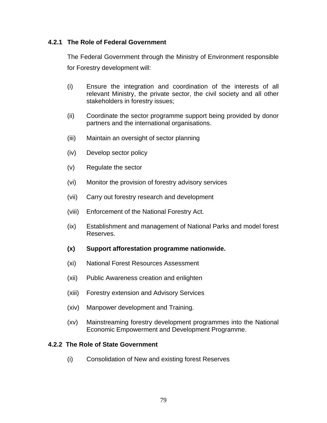#### **4.2.1 The Role of Federal Government**

The Federal Government through the Ministry of Environment responsible for Forestry development will:

- (i) Ensure the integration and coordination of the interests of all relevant Ministry, the private sector, the civil society and all other stakeholders in forestry issues;
- (ii) Coordinate the sector programme support being provided by donor partners and the international organisations.
- (iii) Maintain an oversight of sector planning
- (iv) Develop sector policy
- (v) Regulate the sector
- (vi) Monitor the provision of forestry advisory services
- (vii) Carry out forestry research and development
- (viii) Enforcement of the National Forestry Act.
- (ix) Establishment and management of National Parks and model forest Reserves.
- **(x) Support afforestation programme nationwide.**
- (xi) National Forest Resources Assessment
- (xii) Public Awareness creation and enlighten
- (xiii) Forestry extension and Advisory Services
- (xiv) Manpower development and Training.
- (xv) Mainstreaming forestry development programmes into the National Economic Empowerment and Development Programme.

#### **4.2.2 The Role of State Government**

(i) Consolidation of New and existing forest Reserves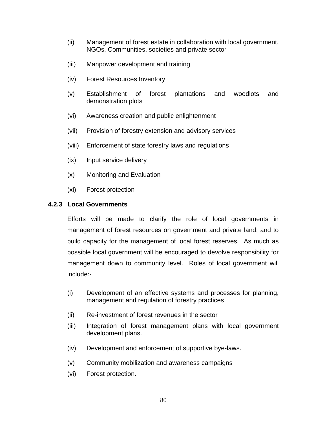- (ii) Management of forest estate in collaboration with local government, NGOs, Communities, societies and private sector
- (iii) Manpower development and training
- (iv) Forest Resources Inventory
- (v) Establishment of forest plantations and woodlots and demonstration plots
- (vi) Awareness creation and public enlightenment
- (vii) Provision of forestry extension and advisory services
- (viii) Enforcement of state forestry laws and regulations
- (ix) Input service delivery
- (x) Monitoring and Evaluation
- (xi) Forest protection

#### **4.2.3 Local Governments**

Efforts will be made to clarify the role of local governments in management of forest resources on government and private land; and to build capacity for the management of local forest reserves. As much as possible local government will be encouraged to devolve responsibility for management down to community level. Roles of local government will include:-

- (i) Development of an effective systems and processes for planning, management and regulation of forestry practices
- (ii) Re-investment of forest revenues in the sector
- (iii) Integration of forest management plans with local government development plans.
- (iv) Development and enforcement of supportive bye-laws.
- (v) Community mobilization and awareness campaigns
- (vi) Forest protection.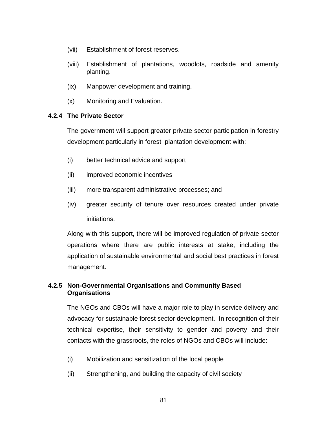- (vii) Establishment of forest reserves.
- (viii) Establishment of plantations, woodlots, roadside and amenity planting.
- (ix) Manpower development and training.
- (x) Monitoring and Evaluation.

## **4.2.4 The Private Sector**

The government will support greater private sector participation in forestry development particularly in forest plantation development with:

- (i) better technical advice and support
- (ii) improved economic incentives
- (iii) more transparent administrative processes; and
- (iv) greater security of tenure over resources created under private initiations.

Along with this support, there will be improved regulation of private sector operations where there are public interests at stake, including the application of sustainable environmental and social best practices in forest management.

## **4.2.5 Non-Governmental Organisations and Community Based Organisations**

The NGOs and CBOs will have a major role to play in service delivery and advocacy for sustainable forest sector development. In recognition of their technical expertise, their sensitivity to gender and poverty and their contacts with the grassroots, the roles of NGOs and CBOs will include:-

- (i) Mobilization and sensitization of the local people
- (ii) Strengthening, and building the capacity of civil society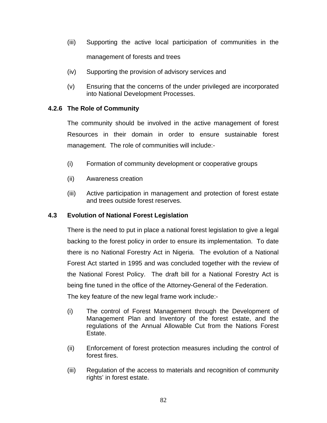- (iii) Supporting the active local participation of communities in the management of forests and trees
- (iv) Supporting the provision of advisory services and
- (v) Ensuring that the concerns of the under privileged are incorporated into National Development Processes.

## **4.2.6 The Role of Community**

The community should be involved in the active management of forest Resources in their domain in order to ensure sustainable forest management. The role of communities will include:-

- (i) Formation of community development or cooperative groups
- (ii) Awareness creation
- (iii) Active participation in management and protection of forest estate and trees outside forest reserves.

#### **4.3 Evolution of National Forest Legislation**

There is the need to put in place a national forest legislation to give a legal backing to the forest policy in order to ensure its implementation. To date there is no National Forestry Act in Nigeria. The evolution of a National Forest Act started in 1995 and was concluded together with the review of the National Forest Policy. The draft bill for a National Forestry Act is being fine tuned in the office of the Attorney-General of the Federation.

The key feature of the new legal frame work include:-

- (i) The control of Forest Management through the Development of Management Plan and Inventory of the forest estate, and the regulations of the Annual Allowable Cut from the Nations Forest Estate.
- (ii) Enforcement of forest protection measures including the control of forest fires.
- (iii) Regulation of the access to materials and recognition of community rights' in forest estate.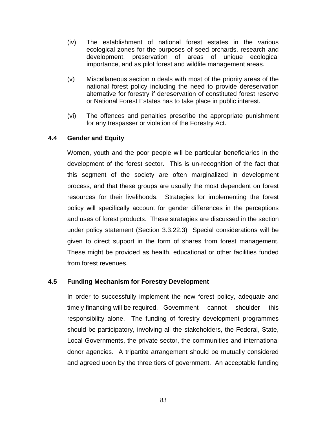- (iv) The establishment of national forest estates in the various ecological zones for the purposes of seed orchards, research and development, preservation of areas of unique ecological importance, and as pilot forest and wildlife management areas.
- (v) Miscellaneous section n deals with most of the priority areas of the national forest policy including the need to provide dereservation alternative for forestry if dereservation of constituted forest reserve or National Forest Estates has to take place in public interest.
- (vi) The offences and penalties prescribe the appropriate punishment for any trespasser or violation of the Forestry Act.

#### **4.4 Gender and Equity**

Women, youth and the poor people will be particular beneficiaries in the development of the forest sector. This is un-recognition of the fact that this segment of the society are often marginalized in development process, and that these groups are usually the most dependent on forest resources for their livelihoods. Strategies for implementing the forest policy will specifically account for gender differences in the perceptions and uses of forest products. These strategies are discussed in the section under policy statement (Section 3.3.22.3) Special considerations will be given to direct support in the form of shares from forest management. These might be provided as health, educational or other facilities funded from forest revenues.

# **4.5 Funding Mechanism for Forestry Development**

In order to successfully implement the new forest policy, adequate and timely financing will be required. Government cannot shoulder this responsibility alone. The funding of forestry development programmes should be participatory, involving all the stakeholders, the Federal, State, Local Governments, the private sector, the communities and international donor agencies. A tripartite arrangement should be mutually considered and agreed upon by the three tiers of government. An acceptable funding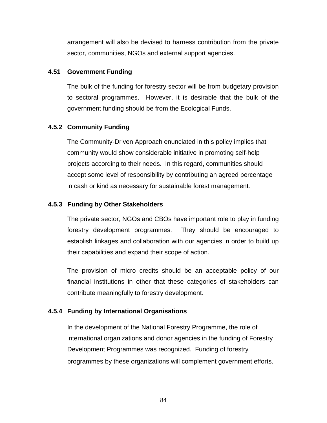arrangement will also be devised to harness contribution from the private sector, communities, NGOs and external support agencies.

#### **4.51 Government Funding**

The bulk of the funding for forestry sector will be from budgetary provision to sectoral programmes. However, it is desirable that the bulk of the government funding should be from the Ecological Funds.

#### **4.5.2 Community Funding**

The Community-Driven Approach enunciated in this policy implies that community would show considerable initiative in promoting self-help projects according to their needs. In this regard, communities should accept some level of responsibility by contributing an agreed percentage in cash or kind as necessary for sustainable forest management.

#### **4.5.3 Funding by Other Stakeholders**

The private sector, NGOs and CBOs have important role to play in funding forestry development programmes. They should be encouraged to establish linkages and collaboration with our agencies in order to build up their capabilities and expand their scope of action.

The provision of micro credits should be an acceptable policy of our financial institutions in other that these categories of stakeholders can contribute meaningfully to forestry development.

#### **4.5.4 Funding by International Organisations**

In the development of the National Forestry Programme, the role of international organizations and donor agencies in the funding of Forestry Development Programmes was recognized. Funding of forestry programmes by these organizations will complement government efforts.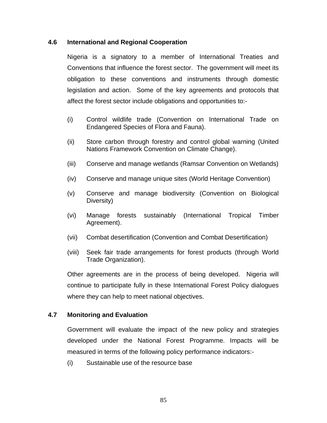#### **4.6 International and Regional Cooperation**

Nigeria is a signatory to a member of International Treaties and Conventions that influence the forest sector. The government will meet its obligation to these conventions and instruments through domestic legislation and action. Some of the key agreements and protocols that affect the forest sector include obligations and opportunities to:-

- (i) Control wildlife trade (Convention on International Trade on Endangered Species of Flora and Fauna).
- (ii) Store carbon through forestry and control global warning (United Nations Framework Convention on Climate Change).
- (iii) Conserve and manage wetlands (Ramsar Convention on Wetlands)
- (iv) Conserve and manage unique sites (World Heritage Convention)
- (v) Conserve and manage biodiversity (Convention on Biological Diversity)
- (vi) Manage forests sustainably (International Tropical Timber Agreement).
- (vii) Combat desertification (Convention and Combat Desertification)
- (viii) Seek fair trade arrangements for forest products (through World Trade Organization).

Other agreements are in the process of being developed. Nigeria will continue to participate fully in these International Forest Policy dialogues where they can help to meet national objectives.

#### **4.7 Monitoring and Evaluation**

Government will evaluate the impact of the new policy and strategies developed under the National Forest Programme. Impacts will be measured in terms of the following policy performance indicators:-

(i) Sustainable use of the resource base